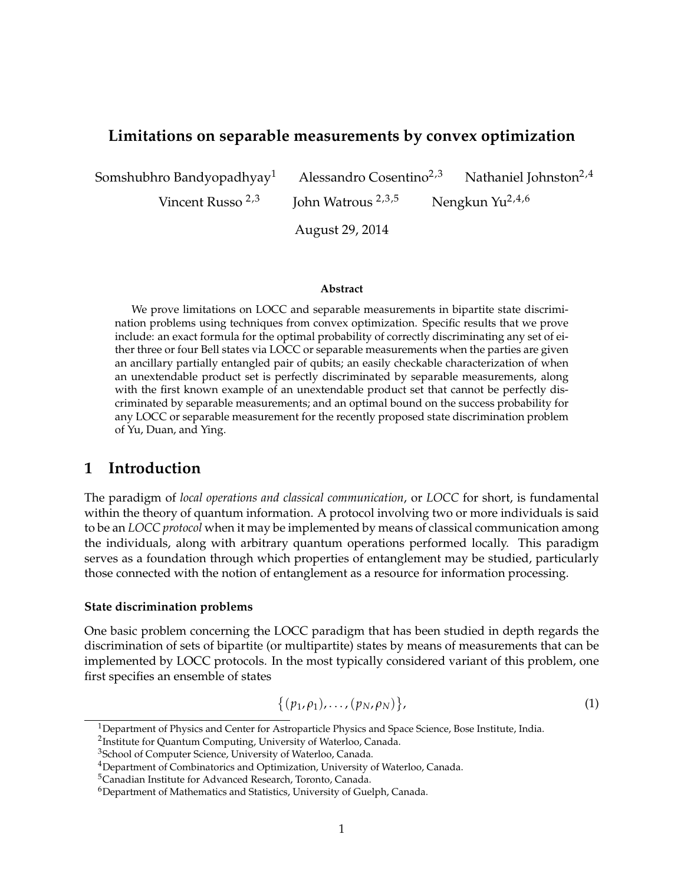# **Limitations on separable measurements by convex optimization**

Somshubhro Bandyopadhyay<sup>1</sup> Alessandro Cosentino<sup>2,3</sup> Nathaniel Johnston<sup>2,4</sup>

Vincent Russo  $2,3$  John Watrous  $2,3,5$  Nengkun Yu $2,4,6$ 

August 29, 2014

#### **Abstract**

We prove limitations on LOCC and separable measurements in bipartite state discrimination problems using techniques from convex optimization. Specific results that we prove include: an exact formula for the optimal probability of correctly discriminating any set of either three or four Bell states via LOCC or separable measurements when the parties are given an ancillary partially entangled pair of qubits; an easily checkable characterization of when an unextendable product set is perfectly discriminated by separable measurements, along with the first known example of an unextendable product set that cannot be perfectly discriminated by separable measurements; and an optimal bound on the success probability for any LOCC or separable measurement for the recently proposed state discrimination problem of Yu, Duan, and Ying.

# **1 Introduction**

The paradigm of *local operations and classical communication*, or *LOCC* for short, is fundamental within the theory of quantum information. A protocol involving two or more individuals is said to be an *LOCC protocol* when it may be implemented by means of classical communication among the individuals, along with arbitrary quantum operations performed locally. This paradigm serves as a foundation through which properties of entanglement may be studied, particularly those connected with the notion of entanglement as a resource for information processing.

## **State discrimination problems**

One basic problem concerning the LOCC paradigm that has been studied in depth regards the discrimination of sets of bipartite (or multipartite) states by means of measurements that can be implemented by LOCC protocols. In the most typically considered variant of this problem, one first specifies an ensemble of states

$$
\{(p_1,\rho_1),\ldots,(p_N,\rho_N)\},\qquad(1)
$$

 $1$ Department of Physics and Center for Astroparticle Physics and Space Science, Bose Institute, India.

<sup>&</sup>lt;sup>2</sup>Institute for Quantum Computing, University of Waterloo, Canada.

<sup>&</sup>lt;sup>3</sup>School of Computer Science, University of Waterloo, Canada.

<sup>&</sup>lt;sup>4</sup>Department of Combinatorics and Optimization, University of Waterloo, Canada.

<sup>5</sup>Canadian Institute for Advanced Research, Toronto, Canada.

 $6$ Department of Mathematics and Statistics, University of Guelph, Canada.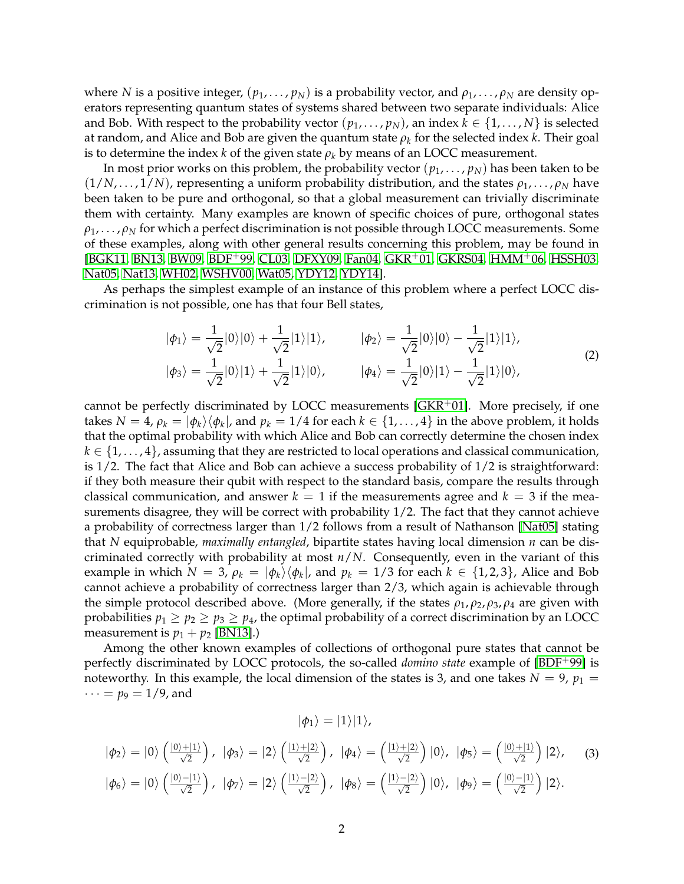<span id="page-1-2"></span>where *N* is a positive integer,  $(p_1, \ldots, p_N)$  is a probability vector, and  $\rho_1, \ldots, \rho_N$  are density operators representing quantum states of systems shared between two separate individuals: Alice and Bob. With respect to the probability vector  $(p_1, \ldots, p_N)$ , an index  $k \in \{1, \ldots, N\}$  is selected at random, and Alice and Bob are given the quantum state  $\rho_k$  for the selected index  $k.$  Their goal is to determine the index *k* of the given state  $\rho_k$  by means of an LOCC measurement.

In most prior works on this problem, the probability vector (*p*1, . . . , *pN*) has been taken to be  $(1/N, \ldots, 1/N)$ , representing a uniform probability distribution, and the states  $\rho_1, \ldots, \rho_N$  have been taken to be pure and orthogonal, so that a global measurement can trivially discriminate them with certainty. Many examples are known of specific choices of pure, orthogonal states  $\rho_1, \ldots, \rho_N$  for which a perfect discrimination is not possible through LOCC measurements. Some of these examples, along with other general results concerning this problem, may be found in [\[BGK11,](#page-19-0) [BN13,](#page-19-1) [BW09,](#page-20-0) [BDF](#page-19-2)+99, [CL03,](#page-20-1) [DFXY09,](#page-20-2) [Fan04,](#page-20-3) [GKR](#page-20-4)+01, [GKRS04,](#page-20-5) [HMM](#page-21-0)+06, [HSSH03,](#page-21-1) [Nat05,](#page-21-2) [Nat13,](#page-21-3) [WH02,](#page-21-4) [WSHV00,](#page-21-5) [Wat05,](#page-21-6) [YDY12,](#page-21-7) [YDY14\]](#page-21-8).

As perhaps the simplest example of an instance of this problem where a perfect LOCC discrimination is not possible, one has that four Bell states,

<span id="page-1-1"></span>
$$
|\phi_1\rangle = \frac{1}{\sqrt{2}}|0\rangle|0\rangle + \frac{1}{\sqrt{2}}|1\rangle|1\rangle, \qquad |\phi_2\rangle = \frac{1}{\sqrt{2}}|0\rangle|0\rangle - \frac{1}{\sqrt{2}}|1\rangle|1\rangle, |\phi_3\rangle = \frac{1}{\sqrt{2}}|0\rangle|1\rangle + \frac{1}{\sqrt{2}}|1\rangle|0\rangle, \qquad |\phi_4\rangle = \frac{1}{\sqrt{2}}|0\rangle|1\rangle - \frac{1}{\sqrt{2}}|1\rangle|0\rangle,
$$
 (2)

cannot be perfectly discriminated by LOCC measurements [\[GKR](#page-20-4) $+01$ ]. More precisely, if one takes  $N=4$ ,  $\rho_k=|\phi_k\rangle\langle\phi_k|$ , and  $p_k=1/4$  for each  $k\in\{1,\ldots,4\}$  in the above problem, it holds that the optimal probability with which Alice and Bob can correctly determine the chosen index  $k \in \{1, \ldots, 4\}$ , assuming that they are restricted to local operations and classical communication, is  $1/2$ . The fact that Alice and Bob can achieve a success probability of  $1/2$  is straightforward: if they both measure their qubit with respect to the standard basis, compare the results through classical communication, and answer  $k = 1$  if the measurements agree and  $k = 3$  if the measurements disagree, they will be correct with probability 1/2. The fact that they cannot achieve a probability of correctness larger than 1/2 follows from a result of Nathanson [\[Nat05\]](#page-21-2) stating that *N* equiprobable, *maximally entangled*, bipartite states having local dimension *n* can be discriminated correctly with probability at most *n*/*N*. Consequently, even in the variant of this example in which  $N = 3$ ,  $\rho_k = |\phi_k\rangle\langle\phi_k|$ , and  $p_k = 1/3$  for each  $k \in \{1, 2, 3\}$ , Alice and Bob cannot achieve a probability of correctness larger than 2/3, which again is achievable through the simple protocol described above. (More generally, if the states  $\rho_1$ ,  $\rho_2$ ,  $\rho_3$ ,  $\rho_4$  are given with probabilities  $p_1 \geq p_2 \geq p_3 \geq p_4$ , the optimal probability of a correct discrimination by an LOCC measurement is  $p_1 + p_2$  [\[BN13\]](#page-19-1).)

Among the other known examples of collections of orthogonal pure states that cannot be perfectly discriminated by LOCC protocols, the so-called *domino state* example of [\[BDF](#page-19-2)+99] is noteworthy. In this example, the local dimension of the states is 3, and one takes  $N = 9$ ,  $p_1 =$  $\cdots = p_9 = 1/9$ , and

$$
|\phi_1\rangle=|1\rangle|1\rangle,
$$

<span id="page-1-0"></span>
$$
|\phi_2\rangle = |0\rangle \left(\frac{|0\rangle + |1\rangle}{\sqrt{2}}\right), \quad |\phi_3\rangle = |2\rangle \left(\frac{|1\rangle + |2\rangle}{\sqrt{2}}\right), \quad |\phi_4\rangle = \left(\frac{|1\rangle + |2\rangle}{\sqrt{2}}\right)|0\rangle, \quad |\phi_5\rangle = \left(\frac{|0\rangle + |1\rangle}{\sqrt{2}}\right)|2\rangle, \quad (3)
$$

$$
|\phi_6\rangle = |0\rangle \left(\frac{|0\rangle - |1\rangle}{\sqrt{2}}\right), \quad |\phi_7\rangle = |2\rangle \left(\frac{|1\rangle - |2\rangle}{\sqrt{2}}\right), \quad |\phi_8\rangle = \left(\frac{|1\rangle - |2\rangle}{\sqrt{2}}\right)|0\rangle, \quad |\phi_9\rangle = \left(\frac{|0\rangle - |1\rangle}{\sqrt{2}}\right)|2\rangle.
$$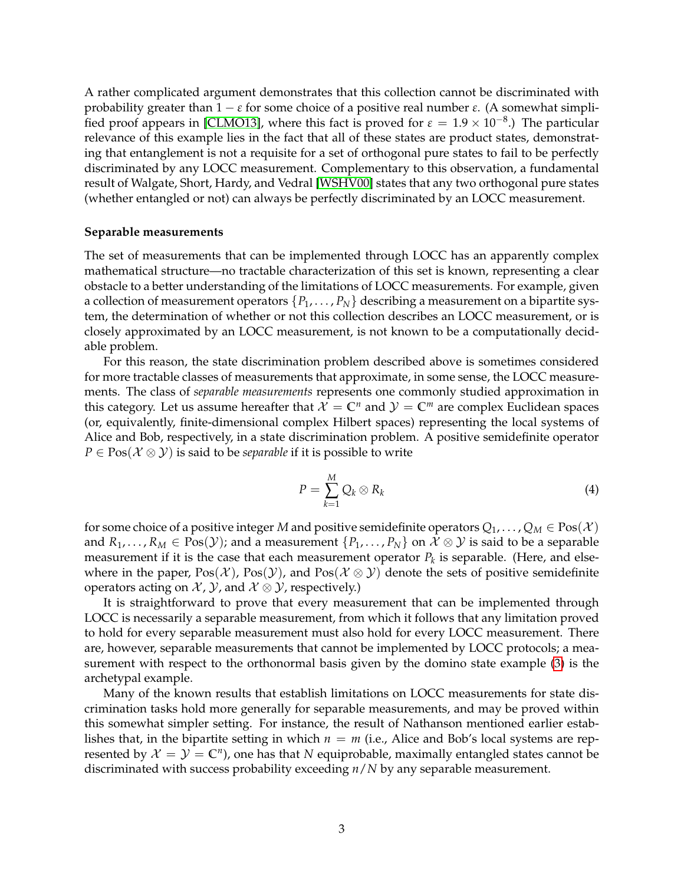<span id="page-2-0"></span>A rather complicated argument demonstrates that this collection cannot be discriminated with probability greater than  $1 - \varepsilon$  for some choice of a positive real number  $\varepsilon$ . (A somewhat simpli-fied proof appears in [\[CLMO13\]](#page-20-6), where this fact is proved for  $\varepsilon = 1.9 \times 10^{-8}$ .) The particular relevance of this example lies in the fact that all of these states are product states, demonstrating that entanglement is not a requisite for a set of orthogonal pure states to fail to be perfectly discriminated by any LOCC measurement. Complementary to this observation, a fundamental result of Walgate, Short, Hardy, and Vedral [\[WSHV00\]](#page-21-5) states that any two orthogonal pure states (whether entangled or not) can always be perfectly discriminated by an LOCC measurement.

#### **Separable measurements**

The set of measurements that can be implemented through LOCC has an apparently complex mathematical structure—no tractable characterization of this set is known, representing a clear obstacle to a better understanding of the limitations of LOCC measurements. For example, given a collection of measurement operators  $\{P_1, \ldots, P_N\}$  describing a measurement on a bipartite system, the determination of whether or not this collection describes an LOCC measurement, or is closely approximated by an LOCC measurement, is not known to be a computationally decidable problem.

For this reason, the state discrimination problem described above is sometimes considered for more tractable classes of measurements that approximate, in some sense, the LOCC measurements. The class of *separable measurements* represents one commonly studied approximation in this category. Let us assume hereafter that  $\mathcal{X} = \mathbb{C}^n$  and  $\mathcal{Y} = \mathbb{C}^m$  are complex Euclidean spaces (or, equivalently, finite-dimensional complex Hilbert spaces) representing the local systems of Alice and Bob, respectively, in a state discrimination problem. A positive semidefinite operator  $P \in \text{Pos}(\mathcal{X} \otimes \mathcal{Y})$  is said to be *separable* if it is possible to write

$$
P = \sum_{k=1}^{M} Q_k \otimes R_k \tag{4}
$$

for some choice of a positive integer *M* and positive semidefinite operators  $Q_1, \ldots, Q_M \in \text{Pos}(\mathcal{X})$ and  $R_1, \ldots, R_M \in \text{Pos}(\mathcal{Y})$ ; and a measurement  $\{P_1, \ldots, P_N\}$  on  $\mathcal{X} \otimes \mathcal{Y}$  is said to be a separable measurement if it is the case that each measurement operator  $P_k$  is separable. (Here, and elsewhere in the paper,  $Pos(X)$ ,  $Pos(Y)$ , and  $Pos(X \otimes Y)$  denote the sets of positive semidefinite operators acting on  $X$ ,  $Y$ , and  $X \otimes Y$ , respectively.)

It is straightforward to prove that every measurement that can be implemented through LOCC is necessarily a separable measurement, from which it follows that any limitation proved to hold for every separable measurement must also hold for every LOCC measurement. There are, however, separable measurements that cannot be implemented by LOCC protocols; a measurement with respect to the orthonormal basis given by the domino state example [\(3\)](#page-1-0) is the archetypal example.

Many of the known results that establish limitations on LOCC measurements for state discrimination tasks hold more generally for separable measurements, and may be proved within this somewhat simpler setting. For instance, the result of Nathanson mentioned earlier establishes that, in the bipartite setting in which  $n = m$  (i.e., Alice and Bob's local systems are represented by  $X = Y = \mathbb{C}^n$ , one has that N equiprobable, maximally entangled states cannot be discriminated with success probability exceeding *n*/*N* by any separable measurement.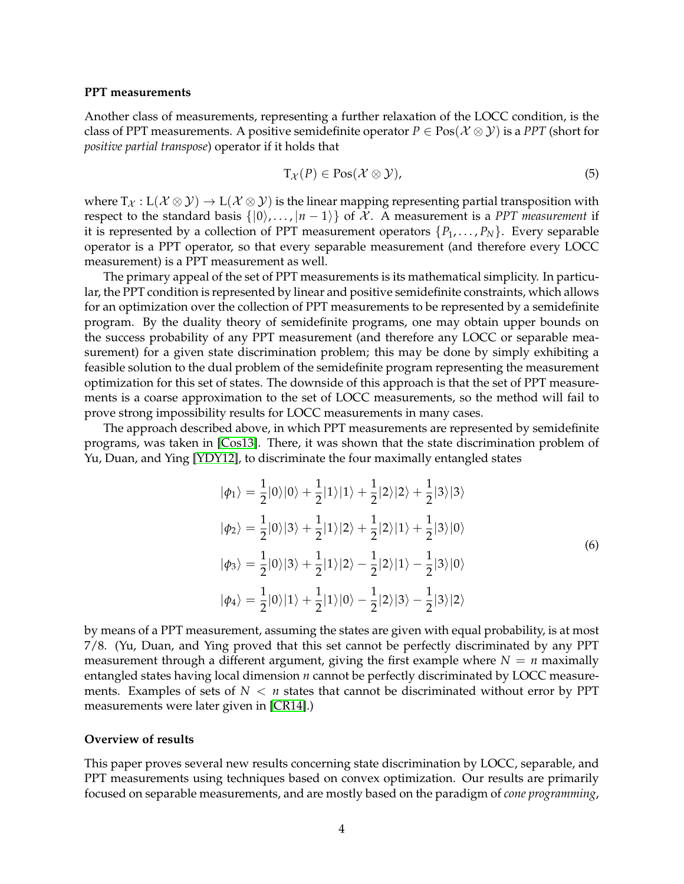### <span id="page-3-1"></span>**PPT measurements**

Another class of measurements, representing a further relaxation of the LOCC condition, is the class of PPT measurements. A positive semidefinite operator  $P \in \text{Pos}(\mathcal{X} \otimes \mathcal{Y})$  is a *PPT* (short for *positive partial transpose*) operator if it holds that

$$
T_{\mathcal{X}}(P) \in \text{Pos}(\mathcal{X} \otimes \mathcal{Y}),\tag{5}
$$

where  $T_{\mathcal{X}}: L(\mathcal{X} \otimes \mathcal{Y}) \to L(\mathcal{X} \otimes \mathcal{Y})$  is the linear mapping representing partial transposition with respect to the standard basis  $\{|0\rangle, \ldots, |n-1\rangle\}$  of X. A measurement is a *PPT measurement* if it is represented by a collection of PPT measurement operators  $\{P_1, \ldots, P_N\}$ . Every separable operator is a PPT operator, so that every separable measurement (and therefore every LOCC measurement) is a PPT measurement as well.

The primary appeal of the set of PPT measurements is its mathematical simplicity. In particular, the PPT condition is represented by linear and positive semidefinite constraints, which allows for an optimization over the collection of PPT measurements to be represented by a semidefinite program. By the duality theory of semidefinite programs, one may obtain upper bounds on the success probability of any PPT measurement (and therefore any LOCC or separable measurement) for a given state discrimination problem; this may be done by simply exhibiting a feasible solution to the dual problem of the semidefinite program representing the measurement optimization for this set of states. The downside of this approach is that the set of PPT measurements is a coarse approximation to the set of LOCC measurements, so the method will fail to prove strong impossibility results for LOCC measurements in many cases.

The approach described above, in which PPT measurements are represented by semidefinite programs, was taken in [\[Cos13\]](#page-20-7). There, it was shown that the state discrimination problem of Yu, Duan, and Ying [\[YDY12\]](#page-21-7), to discriminate the four maximally entangled states

<span id="page-3-0"></span>
$$
|\phi_1\rangle = \frac{1}{2}|0\rangle|0\rangle + \frac{1}{2}|1\rangle|1\rangle + \frac{1}{2}|2\rangle|2\rangle + \frac{1}{2}|3\rangle|3\rangle
$$
  
\n
$$
|\phi_2\rangle = \frac{1}{2}|0\rangle|3\rangle + \frac{1}{2}|1\rangle|2\rangle + \frac{1}{2}|2\rangle|1\rangle + \frac{1}{2}|3\rangle|0\rangle
$$
  
\n
$$
|\phi_3\rangle = \frac{1}{2}|0\rangle|3\rangle + \frac{1}{2}|1\rangle|2\rangle - \frac{1}{2}|2\rangle|1\rangle - \frac{1}{2}|3\rangle|0\rangle
$$
  
\n
$$
|\phi_4\rangle = \frac{1}{2}|0\rangle|1\rangle + \frac{1}{2}|1\rangle|0\rangle - \frac{1}{2}|2\rangle|3\rangle - \frac{1}{2}|3\rangle|2\rangle
$$
 (6)

by means of a PPT measurement, assuming the states are given with equal probability, is at most 7/8. (Yu, Duan, and Ying proved that this set cannot be perfectly discriminated by any PPT measurement through a different argument, giving the first example where  $N = n$  maximally entangled states having local dimension *n* cannot be perfectly discriminated by LOCC measurements. Examples of sets of  $N < n$  states that cannot be discriminated without error by PPT measurements were later given in [\[CR14\]](#page-20-8).)

### **Overview of results**

This paper proves several new results concerning state discrimination by LOCC, separable, and PPT measurements using techniques based on convex optimization. Our results are primarily focused on separable measurements, and are mostly based on the paradigm of *cone programming*,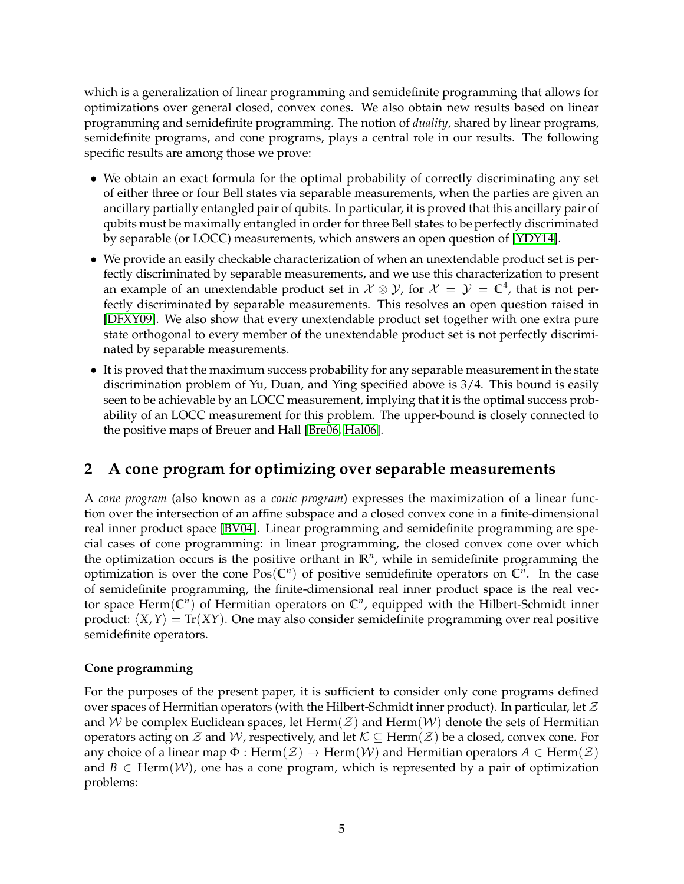<span id="page-4-1"></span>which is a generalization of linear programming and semidefinite programming that allows for optimizations over general closed, convex cones. We also obtain new results based on linear programming and semidefinite programming. The notion of *duality*, shared by linear programs, semidefinite programs, and cone programs, plays a central role in our results. The following specific results are among those we prove:

- We obtain an exact formula for the optimal probability of correctly discriminating any set of either three or four Bell states via separable measurements, when the parties are given an ancillary partially entangled pair of qubits. In particular, it is proved that this ancillary pair of qubits must be maximally entangled in order for three Bell states to be perfectly discriminated by separable (or LOCC) measurements, which answers an open question of [\[YDY14\]](#page-21-8).
- We provide an easily checkable characterization of when an unextendable product set is perfectly discriminated by separable measurements, and we use this characterization to present an example of an unextendable product set in  $\mathcal{X} \otimes \mathcal{Y}$ , for  $\mathcal{X} = \mathcal{Y} = \mathbb{C}^4$ , that is not perfectly discriminated by separable measurements. This resolves an open question raised in [\[DFXY09\]](#page-20-2). We also show that every unextendable product set together with one extra pure state orthogonal to every member of the unextendable product set is not perfectly discriminated by separable measurements.
- It is proved that the maximum success probability for any separable measurement in the state discrimination problem of Yu, Duan, and Ying specified above is 3/4. This bound is easily seen to be achievable by an LOCC measurement, implying that it is the optimal success probability of an LOCC measurement for this problem. The upper-bound is closely connected to the positive maps of Breuer and Hall [\[Bre06,](#page-20-9) [Hal06\]](#page-20-10).

# <span id="page-4-0"></span>**2 A cone program for optimizing over separable measurements**

A *cone program* (also known as a *conic program*) expresses the maximization of a linear function over the intersection of an affine subspace and a closed convex cone in a finite-dimensional real inner product space [\[BV04\]](#page-20-11). Linear programming and semidefinite programming are special cases of cone programming: in linear programming, the closed convex cone over which the optimization occurs is the positive orthant in **R***<sup>n</sup>* , while in semidefinite programming the optimization is over the cone  $Pos(\mathbb{C}^n)$  of positive semidefinite operators on  $\mathbb{C}^n$ . In the case of semidefinite programming, the finite-dimensional real inner product space is the real vector space Herm(**C***<sup>n</sup>* ) of Hermitian operators on **C***<sup>n</sup>* , equipped with the Hilbert-Schmidt inner product:  $\langle X, Y \rangle = \text{Tr}(XY)$ . One may also consider semidefinite programming over real positive semidefinite operators.

## **Cone programming**

For the purposes of the present paper, it is sufficient to consider only cone programs defined over spaces of Hermitian operators (with the Hilbert-Schmidt inner product). In particular, let  $\mathcal Z$ and W be complex Euclidean spaces, let Herm( $Z$ ) and Herm( $W$ ) denote the sets of Hermitian operators acting on Z and W, respectively, and let  $\mathcal{K} \subseteq \text{Herm}(\mathcal{Z})$  be a closed, convex cone. For any choice of a linear map  $\Phi$  : Herm $(\mathcal{Z}) \to$  Herm $(\mathcal{W})$  and Hermitian operators  $A \in$  Herm $(\mathcal{Z})$ and  $B \in \text{Herm}(W)$ , one has a cone program, which is represented by a pair of optimization problems: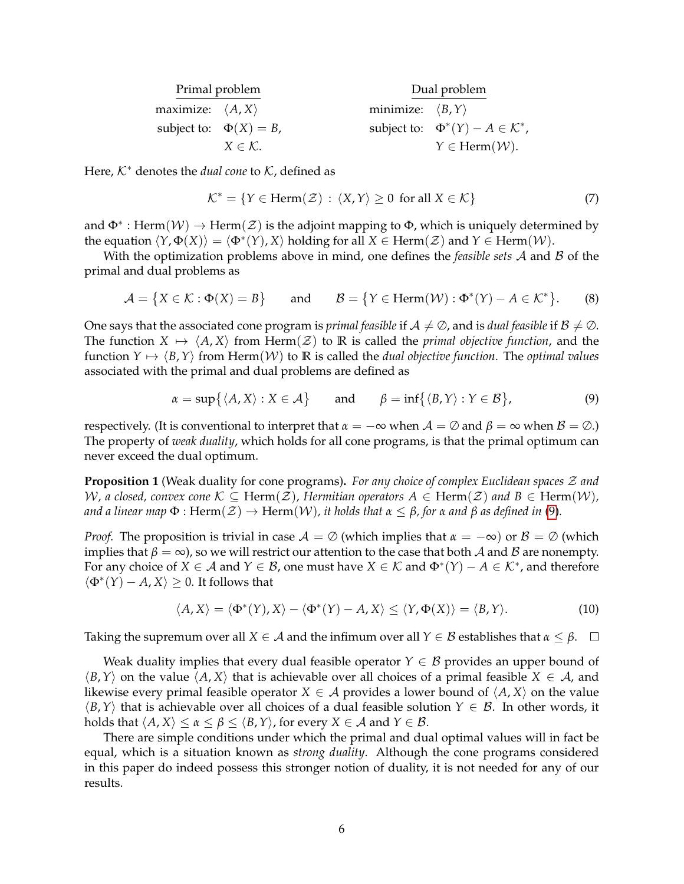| Primal problem                   |                             |                                  | Dual problem                                    |  |
|----------------------------------|-----------------------------|----------------------------------|-------------------------------------------------|--|
| maximize: $\langle A, X \rangle$ |                             | minimize: $\langle B, Y \rangle$ |                                                 |  |
|                                  | subject to: $\Phi(X) = B$ , |                                  | subject to: $\Phi^*(Y) - A \in \mathcal{K}^*$ , |  |
|                                  | $X \in \mathcal{K}$ .       |                                  | $Y \in \text{Herm}(\mathcal{W})$ .              |  |

Here,  $K^*$  denotes the *dual cone* to  $K$ , defined as

$$
\mathcal{K}^* = \{ Y \in \text{Herm}(\mathcal{Z}) : \langle X, Y \rangle \ge 0 \text{ for all } X \in \mathcal{K} \}
$$
 (7)

and  $\Phi^*$  : Herm $(\mathcal{W}) \to \text{Herm}(\mathcal{Z})$  is the adjoint mapping to  $\Phi$ , which is uniquely determined by the equation  $\langle Y, \Phi(X) \rangle = \langle \Phi^*(Y), X \rangle$  holding for all  $X \in \text{Herm}(\mathcal{Z})$  and  $Y \in \text{Herm}(\mathcal{W})$ .

With the optimization problems above in mind, one defines the *feasible sets* A and B of the primal and dual problems as

$$
\mathcal{A} = \{ X \in \mathcal{K} : \Phi(X) = B \} \quad \text{and} \quad \mathcal{B} = \{ Y \in \text{Herm}(\mathcal{W}) : \Phi^*(Y) - A \in \mathcal{K}^* \}. \tag{8}
$$

One says that the associated cone program is *primal feasible* if  $A \neq \emptyset$ , and is *dual feasible* if  $B \neq \emptyset$ . The function  $X \mapsto \langle A, X \rangle$  from Herm $(\mathcal{Z})$  to **R** is called the *primal objective function*, and the function  $Y \mapsto \langle B, Y \rangle$  from Herm $(W)$  to  $\mathbb R$  is called the *dual objective function*. The *optimal values* associated with the primal and dual problems are defined as

<span id="page-5-0"></span>
$$
\alpha = \sup \{ \langle A, X \rangle : X \in \mathcal{A} \} \quad \text{and} \quad \beta = \inf \{ \langle B, Y \rangle : Y \in \mathcal{B} \},
$$
 (9)

respectively. (It is conventional to interpret that  $\alpha = -\infty$  when  $\mathcal{A} = \emptyset$  and  $\beta = \infty$  when  $\mathcal{B} = \emptyset$ .) The property of *weak duality*, which holds for all cone programs, is that the primal optimum can never exceed the dual optimum.

**Proposition 1** (Weak duality for cone programs)**.** *For any choice of complex Euclidean spaces* Z *and* W, a closed, convex cone  $K \subseteq \text{Herm}(\mathcal{Z})$ , Hermitian operators  $A \in \text{Herm}(\mathcal{Z})$  and  $B \in \text{Herm}(W)$ ,  $\alpha$  *and a linear map*  $\Phi$  : Herm $(\mathcal{Z}) \to \text{Herm}(W)$ , *it holds that*  $\alpha \leq \beta$ , for  $\alpha$  *and*  $\beta$  *as defined in* [\(9\)](#page-5-0).

*Proof.* The proposition is trivial in case  $A = \emptyset$  (which implies that  $\alpha = -\infty$ ) or  $\beta = \emptyset$  (which implies that *β* = ∞), so we will restrict our attention to the case that both *A* and *B* are nonempty. For any choice of  $X \in \mathcal{A}$  and  $Y \in \mathcal{B}$ , one must have  $X \in \mathcal{K}$  and  $\Phi^*(Y) - A \in \mathcal{K}^*$ , and therefore  $\langle \Phi^*(Y) - A, X \rangle \geq 0$ . It follows that

$$
\langle A, X \rangle = \langle \Phi^*(Y), X \rangle - \langle \Phi^*(Y) - A, X \rangle \le \langle Y, \Phi(X) \rangle = \langle B, Y \rangle.
$$
 (10)

Taking the supremum over all  $X \in \mathcal{A}$  and the infimum over all  $Y \in \mathcal{B}$  establishes that  $\alpha \leq \beta$ .

Weak duality implies that every dual feasible operator  $Y \in \mathcal{B}$  provides an upper bound of  $\langle B, Y \rangle$  on the value  $\langle A, X \rangle$  that is achievable over all choices of a primal feasible  $X \in \mathcal{A}$ , and likewise every primal feasible operator  $X \in \mathcal{A}$  provides a lower bound of  $\langle A, X \rangle$  on the value  $\langle B, Y \rangle$  that is achievable over all choices of a dual feasible solution  $Y \in \mathcal{B}$ . In other words, it holds that  $\langle A, X \rangle \le \alpha \le \beta \le \langle B, Y \rangle$ , for every  $X \in \mathcal{A}$  and  $Y \in \mathcal{B}$ .

There are simple conditions under which the primal and dual optimal values will in fact be equal, which is a situation known as *strong duality*. Although the cone programs considered in this paper do indeed possess this stronger notion of duality, it is not needed for any of our results.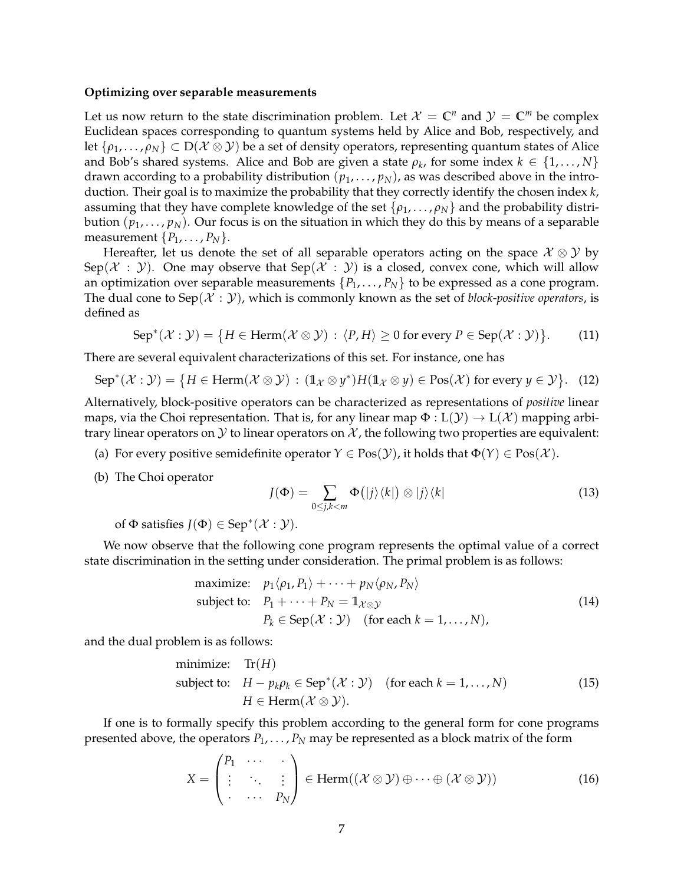#### **Optimizing over separable measurements**

Let us now return to the state discrimination problem. Let  $\mathcal{X} = \mathbb{C}^n$  and  $\mathcal{Y} = \mathbb{C}^m$  be complex Euclidean spaces corresponding to quantum systems held by Alice and Bob, respectively, and let  $\{\rho_1,\ldots,\rho_N\}\subset D(\mathcal{X}\otimes\mathcal{Y})$  be a set of density operators, representing quantum states of Alice and Bob's shared systems. Alice and Bob are given a state  $\rho_k$ , for some index  $k \in \{1, \ldots, N\}$ drawn according to a probability distribution  $(p_1, \ldots, p_N)$ , as was described above in the introduction. Their goal is to maximize the probability that they correctly identify the chosen index *k*, assuming that they have complete knowledge of the set  $\{\rho_1, \ldots, \rho_N\}$  and the probability distribution  $(p_1, \ldots, p_N)$ . Our focus is on the situation in which they do this by means of a separable measurement  $\{P_1, \ldots, P_N\}$ .

Hereafter, let us denote the set of all separable operators acting on the space  $\mathcal{X} \otimes \mathcal{Y}$  by Sep( $\mathcal{X}$ :  $\mathcal{Y}$ ). One may observe that Sep( $\mathcal{X}$ :  $\mathcal{Y}$ ) is a closed, convex cone, which will allow an optimization over separable measurements  $\{P_1, \ldots, P_N\}$  to be expressed as a cone program. The dual cone to Sep( $\mathcal{X} : \mathcal{Y}$ ), which is commonly known as the set of *block-positive operators*, is defined as

$$
\operatorname{Sep}^*(\mathcal{X}:\mathcal{Y}) = \{ H \in \operatorname{Herm}(\mathcal{X} \otimes \mathcal{Y}) : \langle P, H \rangle \ge 0 \text{ for every } P \in \operatorname{Sep}(\mathcal{X}:\mathcal{Y}) \}. \tag{11}
$$

There are several equivalent characterizations of this set. For instance, one has

$$
\operatorname{Sep}^*(\mathcal{X}:\mathcal{Y}) = \{ H \in \operatorname{Herm}(\mathcal{X} \otimes \mathcal{Y}) : (\mathbb{1}_{\mathcal{X}} \otimes y^*) H(\mathbb{1}_{\mathcal{X}} \otimes y) \in \operatorname{Pos}(\mathcal{X}) \text{ for every } y \in \mathcal{Y} \}. \tag{12}
$$

Alternatively, block-positive operators can be characterized as representations of *positive* linear maps, via the Choi representation. That is, for any linear map  $\Phi: L(Y) \to L(X)$  mapping arbitrary linear operators on  $\mathcal Y$  to linear operators on  $\mathcal X$ , the following two properties are equivalent:

- (a) For every positive semidefinite operator  $Y \in Pos(Y)$ , it holds that  $\Phi(Y) \in Pos(X)$ .
- (b) The Choi operator

$$
J(\Phi) = \sum_{0 \le j,k < m} \Phi(|j\rangle\langle k|) \otimes |j\rangle\langle k| \tag{13}
$$

of  $\Phi$  satisfies  $J(\Phi) \in \text{Sep}^*(\mathcal{X} : \mathcal{Y})$ .

We now observe that the following cone program represents the optimal value of a correct state discrimination in the setting under consideration. The primal problem is as follows:

maximize: 
$$
p_1 \langle \rho_1, P_1 \rangle + \cdots + p_N \langle \rho_N, P_N \rangle
$$
  
\nsubject to:  $P_1 + \cdots + P_N = \mathbb{1}_{\mathcal{X} \otimes \mathcal{Y}}$   
\n $P_k \in \text{Sep}(\mathcal{X} : \mathcal{Y}) \text{ (for each } k = 1, ..., N),$  (14)

<span id="page-6-0"></span>and the dual problem is as follows:

minimize: Tr(*H*)  
subject to: 
$$
H - p_k \rho_k \in \text{Sep}^*(X : Y)
$$
 (for each  $k = 1,..., N$ )  
 $H \in \text{Herm}(X \otimes Y)$ . (15)

If one is to formally specify this problem according to the general form for cone programs presented above, the operators  $P_1, \ldots, P_N$  may be represented as a block matrix of the form

$$
X = \begin{pmatrix} P_1 & \cdots & \cdots \\ \vdots & \ddots & \vdots \\ \cdots & \cdots & P_N \end{pmatrix} \in \text{Herm}((\mathcal{X} \otimes \mathcal{Y}) \oplus \cdots \oplus (\mathcal{X} \otimes \mathcal{Y}))
$$
(16)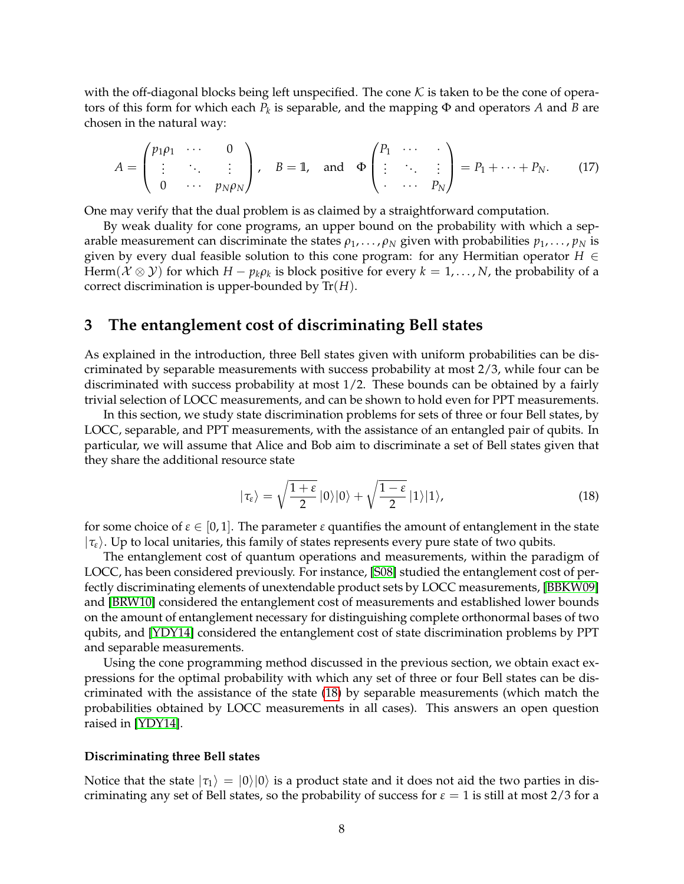<span id="page-7-2"></span>with the off-diagonal blocks being left unspecified. The cone  $K$  is taken to be the cone of operators of this form for which each *P<sup>k</sup>* is separable, and the mapping Φ and operators *A* and *B* are chosen in the natural way:

$$
A = \begin{pmatrix} p_1 \rho_1 & \cdots & 0 \\ \vdots & \ddots & \vdots \\ 0 & \cdots & p_N \rho_N \end{pmatrix}, \quad B = \mathbb{1}, \text{ and } \Phi \begin{pmatrix} P_1 & \cdots & \vdots \\ \vdots & \ddots & \vdots \\ \vdots & \cdots & P_N \end{pmatrix} = P_1 + \cdots + P_N.
$$
 (17)

One may verify that the dual problem is as claimed by a straightforward computation.

By weak duality for cone programs, an upper bound on the probability with which a separable measurement can discriminate the states  $\rho_1, \ldots, \rho_N$  given with probabilities  $p_1, \ldots, p_N$  is given by every dual feasible solution to this cone program: for any Hermitian operator *H* ∈ Herm $(\mathcal{X} \otimes \mathcal{Y})$  for which  $H - p_k \rho_k$  is block positive for every  $k = 1, \ldots, N$ , the probability of a correct discrimination is upper-bounded by Tr(*H*).

# <span id="page-7-1"></span>**3 The entanglement cost of discriminating Bell states**

As explained in the introduction, three Bell states given with uniform probabilities can be discriminated by separable measurements with success probability at most 2/3, while four can be discriminated with success probability at most 1/2. These bounds can be obtained by a fairly trivial selection of LOCC measurements, and can be shown to hold even for PPT measurements.

In this section, we study state discrimination problems for sets of three or four Bell states, by LOCC, separable, and PPT measurements, with the assistance of an entangled pair of qubits. In particular, we will assume that Alice and Bob aim to discriminate a set of Bell states given that they share the additional resource state

<span id="page-7-0"></span>
$$
|\tau_{\varepsilon}\rangle = \sqrt{\frac{1+\varepsilon}{2}}\,|0\rangle|0\rangle + \sqrt{\frac{1-\varepsilon}{2}}\,|1\rangle|1\rangle,\tag{18}
$$

for some choice of  $\varepsilon \in [0,1]$ . The parameter  $\varepsilon$  quantifies the amount of entanglement in the state  $|\tau_{\varepsilon}\rangle$ . Up to local unitaries, this family of states represents every pure state of two qubits.

The entanglement cost of quantum operations and measurements, within the paradigm of LOCC, has been considered previously. For instance, [\[S08\]](#page-21-9) studied the entanglement cost of perfectly discriminating elements of unextendable product sets by LOCC measurements, [\[BBKW09\]](#page-19-3) and [\[BRW10\]](#page-20-12) considered the entanglement cost of measurements and established lower bounds on the amount of entanglement necessary for distinguishing complete orthonormal bases of two qubits, and [\[YDY14\]](#page-21-8) considered the entanglement cost of state discrimination problems by PPT and separable measurements.

Using the cone programming method discussed in the previous section, we obtain exact expressions for the optimal probability with which any set of three or four Bell states can be discriminated with the assistance of the state [\(18\)](#page-7-0) by separable measurements (which match the probabilities obtained by LOCC measurements in all cases). This answers an open question raised in [\[YDY14\]](#page-21-8).

#### **Discriminating three Bell states**

Notice that the state  $|\tau_1\rangle = |0\rangle|0\rangle$  is a product state and it does not aid the two parties in discriminating any set of Bell states, so the probability of success for  $\varepsilon = 1$  is still at most 2/3 for a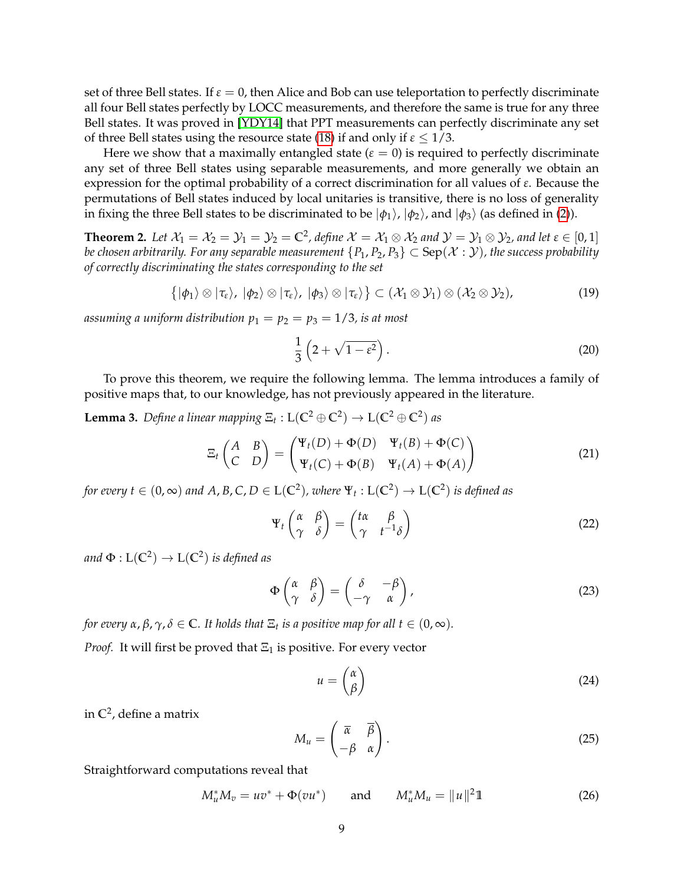<span id="page-8-2"></span>set of three Bell states. If  $\varepsilon = 0$ , then Alice and Bob can use teleportation to perfectly discriminate all four Bell states perfectly by LOCC measurements, and therefore the same is true for any three Bell states. It was proved in [\[YDY14\]](#page-21-8) that PPT measurements can perfectly discriminate any set of three Bell states using the resource state [\(18\)](#page-7-0) if and only if  $\varepsilon \leq 1/3$ .

Here we show that a maximally entangled state  $(\varepsilon = 0)$  is required to perfectly discriminate any set of three Bell states using separable measurements, and more generally we obtain an expression for the optimal probability of a correct discrimination for all values of *ε*. Because the permutations of Bell states induced by local unitaries is transitive, there is no loss of generality in fixing the three Bell states to be discriminated to be  $|\phi_1\rangle$ ,  $|\phi_2\rangle$ , and  $|\phi_3\rangle$  (as defined in [\(2\)](#page-1-1)).

<span id="page-8-0"></span>**Theorem 2.** Let  $X_1 = X_2 = Y_1 = Y_2 = C^2$ , define  $X = X_1 \otimes X_2$  and  $Y = Y_1 \otimes Y_2$ , and let  $\varepsilon \in [0,1]$ *be chosen arbitrarily. For any separable measurement*  ${P_1, P_2, P_3}$  ⊂ Sep( $X : Y$ *), the success probability of correctly discriminating the states corresponding to the set*

$$
\{|\phi_1\rangle\otimes|\tau_{\varepsilon}\rangle,\,|\phi_2\rangle\otimes|\tau_{\varepsilon}\rangle,\,|\phi_3\rangle\otimes|\tau_{\varepsilon}\rangle\}\subset(\mathcal{X}_1\otimes\mathcal{Y}_1)\otimes(\mathcal{X}_2\otimes\mathcal{Y}_2),\qquad(19)
$$

assuming a uniform distribution  $p_1 = p_2 = p_3 = 1/3$ , is at most

$$
\frac{1}{3}\left(2+\sqrt{1-\varepsilon^2}\right). \tag{20}
$$

To prove this theorem, we require the following lemma. The lemma introduces a family of positive maps that, to our knowledge, has not previously appeared in the literature.

<span id="page-8-1"></span>**Lemma 3.** *Define a linear mapping*  $\Xi_t$  :  $L(C^2 \oplus C^2) \rightarrow L(C^2 \oplus C^2)$  *as* 

$$
\Xi_t \begin{pmatrix} A & B \\ C & D \end{pmatrix} = \begin{pmatrix} \Psi_t(D) + \Phi(D) & \Psi_t(B) + \Phi(C) \\ \Psi_t(C) + \Phi(B) & \Psi_t(A) + \Phi(A) \end{pmatrix}
$$
(21)

*for every t*  $\in$   $(0,\infty)$  and  $A$ ,  $B$ ,  $C$ ,  $D$   $\in$   $L(\mathbb{C}^2)$ , where  $\Psi_t:L(\mathbb{C}^2)\to L(\mathbb{C}^2)$  is defined as

$$
\Psi_t \begin{pmatrix} \alpha & \beta \\ \gamma & \delta \end{pmatrix} = \begin{pmatrix} t\alpha & \beta \\ \gamma & t^{-1}\delta \end{pmatrix}
$$
 (22)

and  $\Phi : \mathrm{L}(\mathbb{C}^2) \rightarrow \mathrm{L}(\mathbb{C}^2)$  is defined as

$$
\Phi\begin{pmatrix} \alpha & \beta \\ \gamma & \delta \end{pmatrix} = \begin{pmatrix} \delta & -\beta \\ -\gamma & \alpha \end{pmatrix},
$$
\n(23)

*for every α*, *β*, *γ*, *δ* ∈ **C***. It holds that* Ξ*<sup>t</sup> is a positive map for all t* ∈ (0, ∞)*.*

*Proof.* It will first be proved that  $\Xi_1$  is positive. For every vector

$$
u = \begin{pmatrix} \alpha \\ \beta \end{pmatrix} \tag{24}
$$

in **C**<sup>2</sup> , define a matrix

$$
M_u = \begin{pmatrix} \overline{\alpha} & \overline{\beta} \\ -\beta & \alpha \end{pmatrix}.
$$
 (25)

Straightforward computations reveal that

$$
M_u^* M_v = uv^* + \Phi(vu^*) \quad \text{and} \quad M_u^* M_u = ||u||^2 1 \tag{26}
$$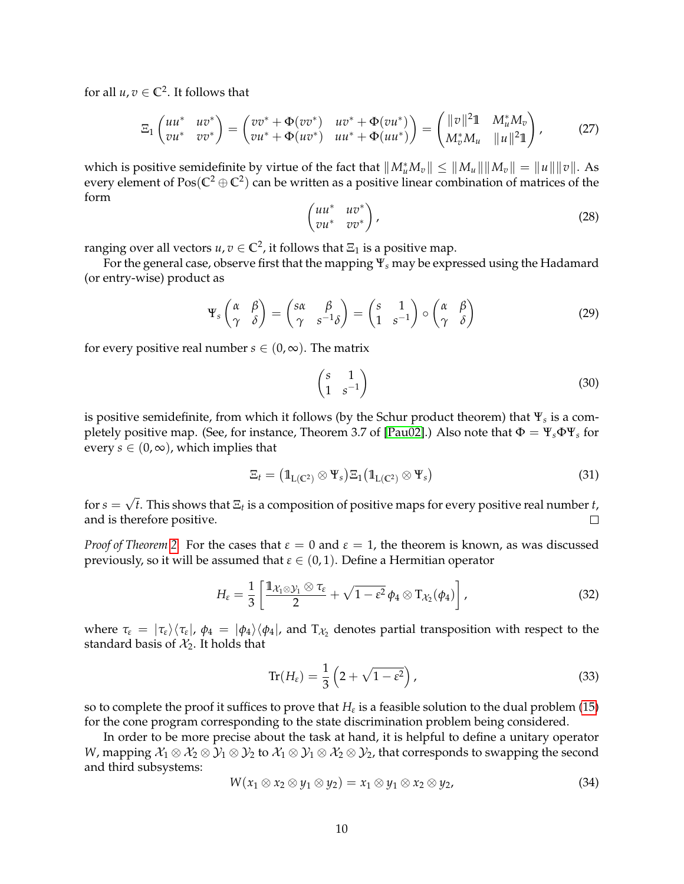<span id="page-9-0"></span>for all  $u, v \in \mathbb{C}^2$ . It follows that

$$
\Xi_1 \begin{pmatrix} u u^* & u v^* \\ v u^* & v v^* \end{pmatrix} = \begin{pmatrix} v v^* + \Phi(v v^*) & u v^* + \Phi(v u^*) \\ v u^* + \Phi(u v^*) & u u^* + \Phi(u u^*) \end{pmatrix} = \begin{pmatrix} ||v||^2 \mathbb{1} & M_u^* M_v \\ M_v^* M_u & ||u||^2 \mathbb{1} \end{pmatrix}, \tag{27}
$$

which is positive semidefinite by virtue of the fact that  $||M_u^*M_v|| \le ||M_u|| ||M_v|| = ||u|| ||v||$ . As every element of  $\text{Pos}(\mathbb{C}^2\oplus\mathbb{C}^2)$  can be written as a positive linear combination of matrices of the form

$$
\begin{pmatrix} uu^* & uv^* \\ vu^* & vv^* \end{pmatrix}, \tag{28}
$$

ranging over all vectors  $u, v \in \mathbb{C}^2$ , it follows that  $\Xi_1$  is a positive map.

For the general case, observe first that the mapping Ψ*<sup>s</sup>* may be expressed using the Hadamard (or entry-wise) product as

$$
\Psi_s \begin{pmatrix} \alpha & \beta \\ \gamma & \delta \end{pmatrix} = \begin{pmatrix} s\alpha & \beta \\ \gamma & s^{-1}\delta \end{pmatrix} = \begin{pmatrix} s & 1 \\ 1 & s^{-1} \end{pmatrix} \circ \begin{pmatrix} \alpha & \beta \\ \gamma & \delta \end{pmatrix}
$$
(29)

for every positive real number *s*  $\in$   $(0, \infty)$ . The matrix

$$
\begin{pmatrix} s & 1 \\ 1 & s^{-1} \end{pmatrix} \tag{30}
$$

is positive semidefinite, from which it follows (by the Schur product theorem) that Ψ*<sup>s</sup>* is a completely positive map. (See, for instance, Theorem 3.7 of [\[Pau02\]](#page-21-10).) Also note that Φ = Ψ*s*ΦΨ*<sup>s</sup>* for every  $s \in (0, \infty)$ , which implies that

$$
\Xi_t = \left(\mathbb{1}_{L(C^2)} \otimes \Psi_s\right) \Xi_1 \left(\mathbb{1}_{L(C^2)} \otimes \Psi_s\right) \tag{31}
$$

√ for  $s =$ *t*. This shows that Ξ*<sup>t</sup>* is a composition of positive maps for every positive real number *t*, and is therefore positive.  $\Box$ 

*Proof of Theorem* [2.](#page-8-0) For the cases that  $\varepsilon = 0$  and  $\varepsilon = 1$ , the theorem is known, as was discussed previously, so it will be assumed that  $\varepsilon \in (0,1)$ . Define a Hermitian operator

$$
H_{\varepsilon} = \frac{1}{3} \left[ \frac{\mathbb{1}_{\mathcal{X}_1 \otimes \mathcal{Y}_1} \otimes \tau_{\varepsilon}}{2} + \sqrt{1 - \varepsilon^2} \phi_4 \otimes T_{\mathcal{X}_2}(\phi_4) \right], \tag{32}
$$

where  $\tau_{\varepsilon} = |\tau_{\varepsilon}\rangle\langle\tau_{\varepsilon}|$ ,  $\phi_4 = |\phi_4\rangle\langle\phi_4|$ , and  $T_{\mathcal{X}_2}$  denotes partial transposition with respect to the standard basis of  $X_2$ . It holds that

$$
\operatorname{Tr}(H_{\varepsilon}) = \frac{1}{3} \left( 2 + \sqrt{1 - \varepsilon^2} \right),\tag{33}
$$

so to complete the proof it suffices to prove that  $H_\varepsilon$  is a feasible solution to the dual problem [\(15\)](#page-6-0) for the cone program corresponding to the state discrimination problem being considered.

In order to be more precise about the task at hand, it is helpful to define a unitary operator *W*, mapping  $\mathcal{X}_1 \otimes \mathcal{X}_2 \otimes \mathcal{Y}_1 \otimes \mathcal{Y}_2$  to  $\mathcal{X}_1 \otimes \mathcal{Y}_1 \otimes \mathcal{X}_2 \otimes \mathcal{Y}_2$ , that corresponds to swapping the second and third subsystems:

$$
W(x_1 \otimes x_2 \otimes y_1 \otimes y_2) = x_1 \otimes y_1 \otimes x_2 \otimes y_2, \tag{34}
$$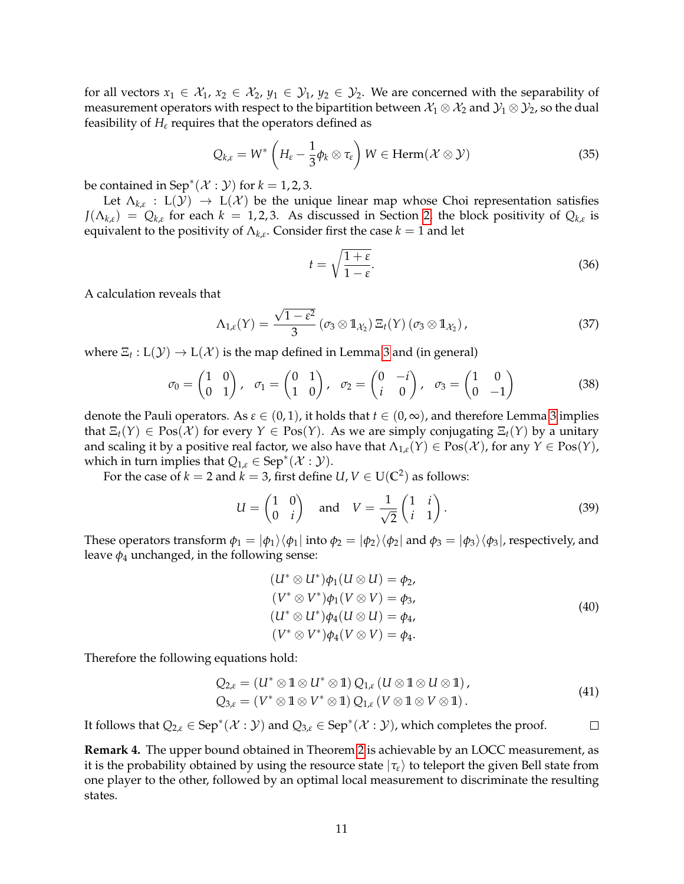for all vectors  $x_1 \in \mathcal{X}_1$ ,  $x_2 \in \mathcal{X}_2$ ,  $y_1 \in \mathcal{Y}_1$ ,  $y_2 \in \mathcal{Y}_2$ . We are concerned with the separability of measurement operators with respect to the bipartition between  $\mathcal{X}_1 \otimes \mathcal{X}_2$  and  $\mathcal{Y}_1 \otimes \mathcal{Y}_2$ , so the dual feasibility of  $H_{\varepsilon}$  requires that the operators defined as

$$
Q_{k,\varepsilon} = W^* \left( H_{\varepsilon} - \frac{1}{3} \phi_k \otimes \tau_{\varepsilon} \right) W \in \text{Herm}(\mathcal{X} \otimes \mathcal{Y})
$$
 (35)

be contained in  $\mathsf{Sep}^*(\mathcal{X}:\mathcal{Y})$  for  $k=1,2,3$ .

Let  $\Lambda_{k,\varepsilon}: L(\mathcal{Y}) \to L(\mathcal{X})$  be the unique linear map whose Choi representation satisfies  $J(\Lambda_{k,\varepsilon}) = Q_{k,\varepsilon}$  for each  $k = 1, 2, 3$  $k = 1, 2, 3$  $k = 1, 2, 3$ . As discussed in Section 2, the block positivity of  $Q_{k,\varepsilon}$  is equivalent to the positivity of  $\Lambda_{k,\varepsilon}$ . Consider first the case  $k=1$  and let

$$
t = \sqrt{\frac{1+\varepsilon}{1-\varepsilon}}.\tag{36}
$$

A calculation reveals that

$$
\Lambda_{1,\varepsilon}(Y)=\frac{\sqrt{1-\varepsilon^2}}{3}\left(\sigma_3\otimes \mathbb{1}_{\mathcal{X}_2}\right)\Xi_t(Y)\left(\sigma_3\otimes \mathbb{1}_{\mathcal{X}_2}\right),\tag{37}
$$

where  $\Xi_t: \mathrm{L}(\mathcal{Y}) \to \mathrm{L}(\mathcal{X})$  is the map defined in Lemma [3](#page-8-1) and (in general)

<span id="page-10-0"></span>
$$
\sigma_0 = \begin{pmatrix} 1 & 0 \\ 0 & 1 \end{pmatrix}, \quad \sigma_1 = \begin{pmatrix} 0 & 1 \\ 1 & 0 \end{pmatrix}, \quad \sigma_2 = \begin{pmatrix} 0 & -i \\ i & 0 \end{pmatrix}, \quad \sigma_3 = \begin{pmatrix} 1 & 0 \\ 0 & -1 \end{pmatrix}
$$
(38)

denote the Pauli operators. As  $\varepsilon \in (0,1)$ , it holds that  $t \in (0,\infty)$ , and therefore Lemma [3](#page-8-1) implies that  $\Xi_t(Y) \in \text{Pos}(\mathcal{X})$  for every  $Y \in \text{Pos}(Y)$ . As we are simply conjugating  $\Xi_t(Y)$  by a unitary and scaling it by a positive real factor, we also have that  $\Lambda_{1,\varepsilon}(Y) \in \text{Pos}(\mathcal{X})$ , for any  $Y \in \text{Pos}(Y)$ , which in turn implies that  $Q_{1,\varepsilon} \in \text{Sep}^*(\mathcal{X}:\mathcal{Y})$ .

For the case of  $k=2$  and  $k=3$ , first define  $U, V \in \mathrm{U}(\mathbb{C}^2)$  as follows:

$$
U = \begin{pmatrix} 1 & 0 \\ 0 & i \end{pmatrix} \quad \text{and} \quad V = \frac{1}{\sqrt{2}} \begin{pmatrix} 1 & i \\ i & 1 \end{pmatrix}.
$$
 (39)

These operators transform  $\phi_1 = |\phi_1\rangle\langle\phi_1|$  into  $\phi_2 = |\phi_2\rangle\langle\phi_2|$  and  $\phi_3 = |\phi_3\rangle\langle\phi_3|$ , respectively, and leave  $\phi_4$  unchanged, in the following sense:

$$
(U^* \otimes U^*)\phi_1(U \otimes U) = \phi_2,
$$
  
\n
$$
(V^* \otimes V^*)\phi_1(V \otimes V) = \phi_3,
$$
  
\n
$$
(U^* \otimes U^*)\phi_4(U \otimes U) = \phi_4,
$$
  
\n
$$
(V^* \otimes V^*)\phi_4(V \otimes V) = \phi_4.
$$
\n(40)

Therefore the following equations hold:

$$
Q_{2,\varepsilon} = (U^* \otimes \mathbb{1} \otimes U^* \otimes \mathbb{1}) Q_{1,\varepsilon} (U \otimes \mathbb{1} \otimes U \otimes \mathbb{1}),
$$
  
\n
$$
Q_{3,\varepsilon} = (V^* \otimes \mathbb{1} \otimes V^* \otimes \mathbb{1}) Q_{1,\varepsilon} (V \otimes \mathbb{1} \otimes V \otimes \mathbb{1}).
$$
\n(41)

It follows that  $Q_{2,\varepsilon} \in \text{Sep}^*(\mathcal{X} : \mathcal{Y})$  and  $Q_{3,\varepsilon} \in \text{Sep}^*(\mathcal{X} : \mathcal{Y})$ , which completes the proof.  $\Box$ 

**Remark 4.** The upper bound obtained in Theorem [2](#page-8-0) is achievable by an LOCC measurement, as it is the probability obtained by using the resource state  $|\tau_{\epsilon}\rangle$  to teleport the given Bell state from one player to the other, followed by an optimal local measurement to discriminate the resulting states.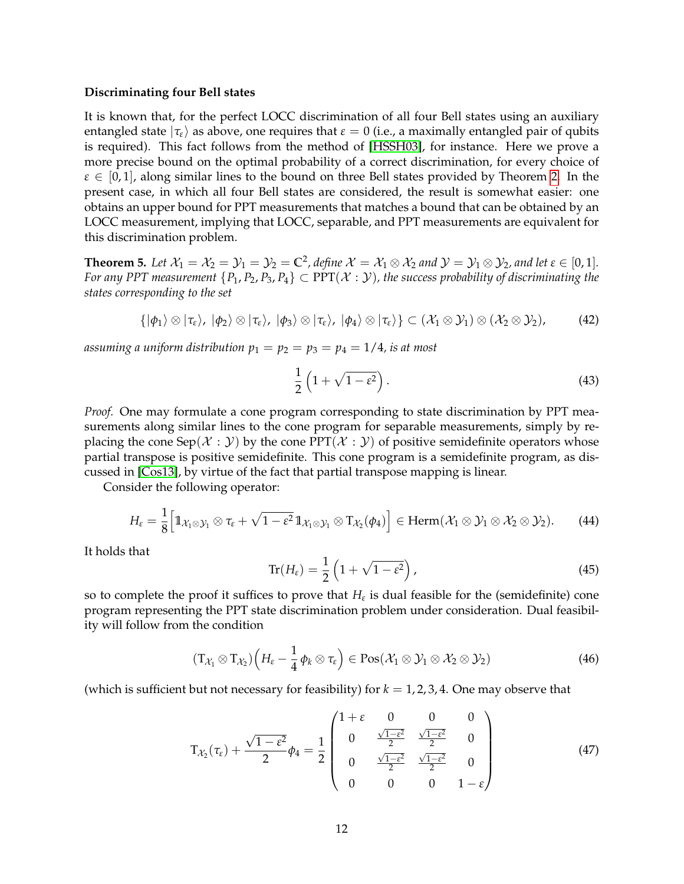### <span id="page-11-1"></span>**Discriminating four Bell states**

It is known that, for the perfect LOCC discrimination of all four Bell states using an auxiliary entangled state  $|\tau_{\varepsilon}\rangle$  as above, one requires that  $\varepsilon = 0$  (i.e., a maximally entangled pair of qubits is required). This fact follows from the method of [\[HSSH03\]](#page-21-1), for instance. Here we prove a more precise bound on the optimal probability of a correct discrimination, for every choice of  $\varepsilon \in [0,1]$ , along similar lines to the bound on three Bell states provided by Theorem [2.](#page-8-0) In the present case, in which all four Bell states are considered, the result is somewhat easier: one obtains an upper bound for PPT measurements that matches a bound that can be obtained by an LOCC measurement, implying that LOCC, separable, and PPT measurements are equivalent for this discrimination problem.

<span id="page-11-0"></span>**Theorem 5.** Let  $X_1 = X_2 = Y_1 = Y_2 = C^2$ , define  $X = X_1 \otimes X_2$  and  $Y = Y_1 \otimes Y_2$ , and let  $\varepsilon \in [0,1]$ . *For any PPT measurement*  ${P_1, P_2, P_3, P_4} \subset PPT(X : Y)$ , the success probability of discriminating the *states corresponding to the set*

$$
\{|\phi_1\rangle \otimes |\tau_{\varepsilon}\rangle, |\phi_2\rangle \otimes |\tau_{\varepsilon}\rangle, |\phi_3\rangle \otimes |\tau_{\varepsilon}\rangle, |\phi_4\rangle \otimes |\tau_{\varepsilon}\rangle\} \subset (\mathcal{X}_1 \otimes \mathcal{Y}_1) \otimes (\mathcal{X}_2 \otimes \mathcal{Y}_2),
$$
 (42)

assuming a uniform distribution  $p_1 = p_2 = p_3 = p_4 = 1/4$ , is at most

$$
\frac{1}{2}\left(1+\sqrt{1-\varepsilon^2}\right). \tag{43}
$$

*Proof.* One may formulate a cone program corresponding to state discrimination by PPT measurements along similar lines to the cone program for separable measurements, simply by replacing the cone Sep( $\mathcal{X} : \mathcal{Y}$ ) by the cone PPT( $\mathcal{X} : \mathcal{Y}$ ) of positive semidefinite operators whose partial transpose is positive semidefinite. This cone program is a semidefinite program, as discussed in [\[Cos13\]](#page-20-7), by virtue of the fact that partial transpose mapping is linear.

Consider the following operator:

$$
H_{\varepsilon} = \frac{1}{8} \Big[ 1\!\!1_{\mathcal{X}_1 \otimes \mathcal{Y}_1} \otimes \tau_{\varepsilon} + \sqrt{1 - \varepsilon^2} \, 1\!\!1_{\mathcal{X}_1 \otimes \mathcal{Y}_1} \otimes T_{\mathcal{X}_2}(\phi_4) \Big] \in \text{Herm}(\mathcal{X}_1 \otimes \mathcal{Y}_1 \otimes \mathcal{X}_2 \otimes \mathcal{Y}_2). \tag{44}
$$

It holds that

$$
\operatorname{Tr}(H_{\varepsilon}) = \frac{1}{2} \left( 1 + \sqrt{1 - \varepsilon^2} \right),\tag{45}
$$

so to complete the proof it suffices to prove that  $H_{\varepsilon}$  is dual feasible for the (semidefinite) cone program representing the PPT state discrimination problem under consideration. Dual feasibility will follow from the condition

$$
(T_{\mathcal{X}_1} \otimes T_{\mathcal{X}_2})\left(H_{\varepsilon} - \frac{1}{4} \phi_k \otimes \tau_{\varepsilon}\right) \in \text{Pos}(\mathcal{X}_1 \otimes \mathcal{Y}_1 \otimes \mathcal{X}_2 \otimes \mathcal{Y}_2)
$$
(46)

(which is sufficient but not necessary for feasibility) for  $k = 1, 2, 3, 4$ . One may observe that

$$
T_{\mathcal{X}_2}(\tau_{\varepsilon}) + \frac{\sqrt{1 - \varepsilon^2}}{2} \phi_4 = \frac{1}{2} \begin{pmatrix} 1 + \varepsilon & 0 & 0 & 0 \\ 0 & \frac{\sqrt{1 - \varepsilon^2}}{2} & \frac{\sqrt{1 - \varepsilon^2}}{2} & 0 \\ 0 & \frac{\sqrt{1 - \varepsilon^2}}{2} & \frac{\sqrt{1 - \varepsilon^2}}{2} & 0 \\ 0 & 0 & 0 & 1 - \varepsilon \end{pmatrix}
$$
(47)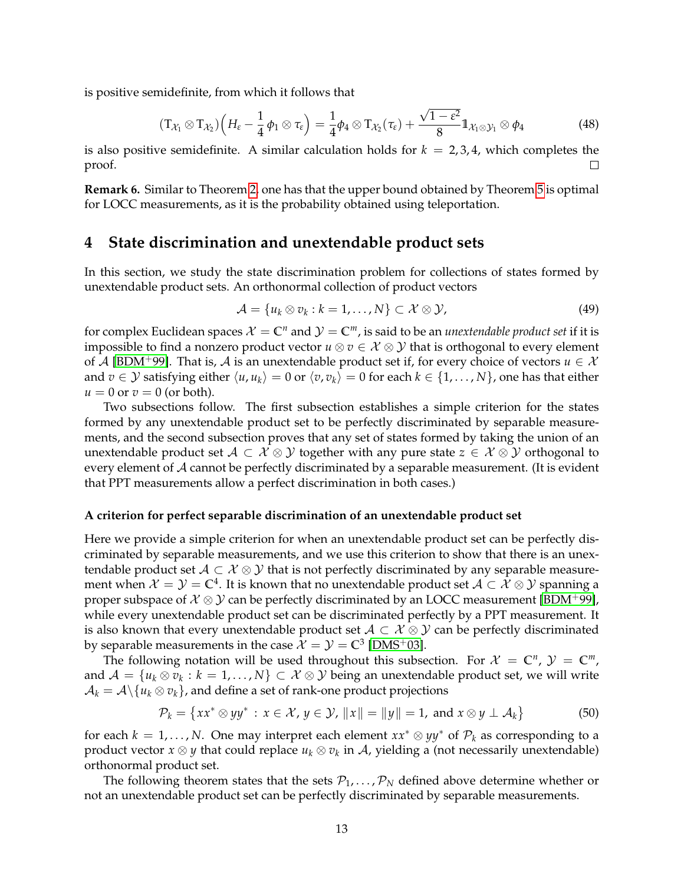<span id="page-12-2"></span>is positive semidefinite, from which it follows that

$$
(\mathsf{T}_{\mathcal{X}_1} \otimes \mathsf{T}_{\mathcal{X}_2})\left(H_{\varepsilon} - \frac{1}{4}\phi_1 \otimes \tau_{\varepsilon}\right) = \frac{1}{4}\phi_4 \otimes \mathsf{T}_{\mathcal{X}_2}(\tau_{\varepsilon}) + \frac{\sqrt{1-\varepsilon^2}}{8}\mathbb{1}_{\mathcal{X}_1 \otimes \mathcal{Y}_1} \otimes \phi_4
$$
(48)

is also positive semidefinite. A similar calculation holds for  $k = 2, 3, 4$ , which completes the proof.  $\Box$ 

**Remark 6.** Similar to Theorem [2,](#page-8-0) one has that the upper bound obtained by Theorem [5](#page-11-0) is optimal for LOCC measurements, as it is the probability obtained using teleportation.

## **4 State discrimination and unextendable product sets**

In this section, we study the state discrimination problem for collections of states formed by unextendable product sets. An orthonormal collection of product vectors

$$
\mathcal{A} = \{u_k \otimes v_k : k = 1, \ldots, N\} \subset \mathcal{X} \otimes \mathcal{Y}, \tag{49}
$$

for complex Euclidean spaces  $\mathcal{X} = \mathbb{C}^n$  and  $\mathcal{Y} = \mathbb{C}^m$ , is said to be an *unextendable product set* if it is impossible to find a nonzero product vector  $u \otimes v \in \mathcal{X} \otimes \mathcal{Y}$  that is orthogonal to every element of A [\[BDM](#page-19-4)<sup>+</sup>99]. That is, A is an unextendable product set if, for every choice of vectors  $u \in \mathcal{X}$ and  $v \in \mathcal{Y}$  satisfying either  $\langle u, u_k \rangle = 0$  or  $\langle v, v_k \rangle = 0$  for each  $k \in \{1, ..., N\}$ , one has that either  $u = 0$  or  $v = 0$  (or both).

Two subsections follow. The first subsection establishes a simple criterion for the states formed by any unextendable product set to be perfectly discriminated by separable measurements, and the second subsection proves that any set of states formed by taking the union of an unextendable product set  $A \subset \mathcal{X} \otimes \mathcal{Y}$  together with any pure state  $z \in \mathcal{X} \otimes \mathcal{Y}$  orthogonal to every element of  $\mathcal A$  cannot be perfectly discriminated by a separable measurement. (It is evident that PPT measurements allow a perfect discrimination in both cases.)

### **A criterion for perfect separable discrimination of an unextendable product set**

Here we provide a simple criterion for when an unextendable product set can be perfectly discriminated by separable measurements, and we use this criterion to show that there is an unextendable product set  $A \subset \mathcal{X} \otimes \mathcal{Y}$  that is not perfectly discriminated by any separable measurement when  $\mathcal{X}=\mathcal{Y}=\mathbb{C}^4.$  It is known that no unextendable product set  $\mathcal{A}\subset \mathcal{X}\otimes\mathcal{Y}$  spanning a proper subspace of  $\mathcal{X} \otimes \mathcal{Y}$  can be perfectly discriminated by an LOCC measurement [\[BDM](#page-19-4)<sup>+99]</sup>, while every unextendable product set can be discriminated perfectly by a PPT measurement. It is also known that every unextendable product set  $A \subset \mathcal{X} \otimes \mathcal{Y}$  can be perfectly discriminated by separable measurements in the case  $\mathcal{X} = \mathcal{Y} = \mathbb{C}^3$  [\[DMS](#page-20-13)<sup>+</sup>03].

The following notation will be used throughout this subsection. For  $\mathcal{X} = \mathbb{C}^n$ ,  $\mathcal{Y} = \mathbb{C}^m$ , and  $\mathcal{A}=\{u_k\otimes v_k:k=1,\ldots,N\}\subset\mathcal{X}\otimes\mathcal{Y}$  being an unextendable product set, we will write  $\mathcal{A}_k = \mathcal{A} \setminus \{u_k \otimes v_k\}$ , and define a set of rank-one product projections

<span id="page-12-0"></span>
$$
\mathcal{P}_k = \{xx^* \otimes yy^* : x \in \mathcal{X}, y \in \mathcal{Y}, ||x|| = ||y|| = 1, \text{ and } x \otimes y \perp \mathcal{A}_k\}
$$
(50)

for each  $k = 1, ..., N$ . One may interpret each element  $xx^* \otimes yy^*$  of  $\mathcal{P}_k$  as corresponding to a product vector *x* ⊗ *y* that could replace *u<sup>k</sup>* ⊗ *v<sup>k</sup>* in A, yielding a (not necessarily unextendable) orthonormal product set.

<span id="page-12-1"></span>The following theorem states that the sets  $P_1, \ldots, P_N$  defined above determine whether or not an unextendable product set can be perfectly discriminated by separable measurements.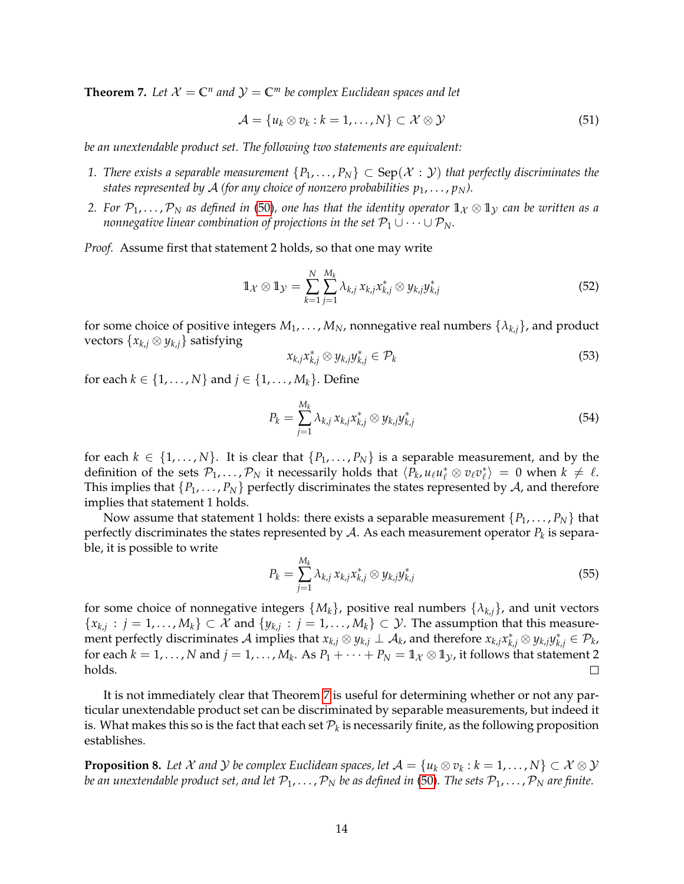**Theorem 7.** Let  $X = \mathbb{C}^n$  and  $\mathcal{Y} = \mathbb{C}^m$  be complex Euclidean spaces and let

$$
\mathcal{A} = \{u_k \otimes v_k : k = 1, \ldots, N\} \subset \mathcal{X} \otimes \mathcal{Y} \tag{51}
$$

*be an unextendable product set. The following two statements are equivalent:*

- *1. There exists a separable measurement*  $\{P_1,\ldots,P_N\} \subset \text{Sep}(\mathcal{X}:\mathcal{Y})$  *that perfectly discriminates the states represented by A (for any choice of nonzero probabilities*  $p_1, \ldots, p_N$ *).*
- *2.* For  $\mathcal{P}_1, \ldots, \mathcal{P}_N$  as defined in [\(50\)](#page-12-0), one has that the identity operator  $\mathbb{1}_\mathcal{X} \otimes \mathbb{1}_\mathcal{Y}$  can be written as a *nonnegative linear combination of projections in the set*  $P_1 \cup \cdots \cup P_N$ *.*

*Proof.* Assume first that statement 2 holds, so that one may write

$$
\mathbb{1}_{\mathcal{X}}\otimes\mathbb{1}_{\mathcal{Y}}=\sum_{k=1}^N\sum_{j=1}^{M_k}\lambda_{k,j}\,x_{k,j}x_{k,j}^*\otimes y_{k,j}y_{k,j}^*
$$
\n(52)

for some choice of positive integers  $M_1, \ldots, M_N$ , nonnegative real numbers  $\{\lambda_{k,j}\}\)$ , and product vectors  $\{x_{k,i} \otimes y_{k,i}\}$  satisfying

$$
x_{k,j}x_{k,j}^* \otimes y_{k,j}y_{k,j}^* \in \mathcal{P}_k
$$
\n
$$
(53)
$$

for each *k* ∈ {1, . . . , *N*} and *j* ∈ {1, . . . , *M<sub>k</sub>*}. Define

$$
P_k = \sum_{j=1}^{M_k} \lambda_{k,j} \, x_{k,j} x_{k,j}^* \otimes y_{k,j} y_{k,j}^* \tag{54}
$$

for each  $k \in \{1, ..., N\}$ . It is clear that  $\{P_1, ..., P_N\}$  is a separable measurement, and by the definition of the sets  $\mathcal{P}_1, \ldots, \mathcal{P}_N$  it necessarily holds that  $\langle P_k, u_\ell u_\ell^* \otimes v_\ell v_\ell^* \rangle = 0$  when  $k \neq \ell$ . This implies that  $\{P_1, \ldots, P_N\}$  perfectly discriminates the states represented by A, and therefore implies that statement 1 holds.

Now assume that statement 1 holds: there exists a separable measurement  $\{P_1, \ldots, P_N\}$  that perfectly discriminates the states represented by  ${\cal A}.$  As each measurement operator  $P_k$  is separable, it is possible to write

$$
P_k = \sum_{j=1}^{M_k} \lambda_{k,j} \, x_{k,j} x_{k,j}^* \otimes y_{k,j} y_{k,j}^* \tag{55}
$$

for some choice of nonnegative integers  $\{M_k\}$ , positive real numbers  $\{\lambda_{k,i}\}\$ , and unit vectors  ${x_{k,j}: j = 1, \ldots, M_k} \subset \mathcal{X}$  and  ${y_{k,j}: j = 1, \ldots, M_k} \subset \mathcal{Y}$ . The assumption that this measurement perfectly discriminates  $\mathcal A$  implies that  $x_{k,j}\otimes y_{k,j}\perp\mathcal A_k$ , and therefore  $x_{k,j}x_{k,j}^*\otimes y_{k,j}y_{k,j}^*\in\mathcal P_k$ , for each  $k = 1, ..., N$  and  $j = 1, ..., M_k$ . As  $P_1 + \cdots + P_N = 1_{\mathcal{X}} \otimes 1_{\mathcal{Y}}$ , it follows that statement 2 holds.  $\Box$ 

It is not immediately clear that Theorem [7](#page-12-1) is useful for determining whether or not any particular unextendable product set can be discriminated by separable measurements, but indeed it is. What makes this so is the fact that each set  $\mathcal{P}_k$  is necessarily finite, as the following proposition establishes.

<span id="page-13-0"></span>**Proposition 8.** Let  $\mathcal X$  and  $\mathcal Y$  be complex Euclidean spaces, let  $\mathcal A=\{u_k\otimes v_k:k=1,\ldots,N\}\subset \mathcal X\otimes\mathcal Y$ *be an unextendable product set, and let*  $P_1, \ldots, P_N$  *be as defined in* [\(50\)](#page-12-0). The sets  $P_1, \ldots, P_N$  are finite.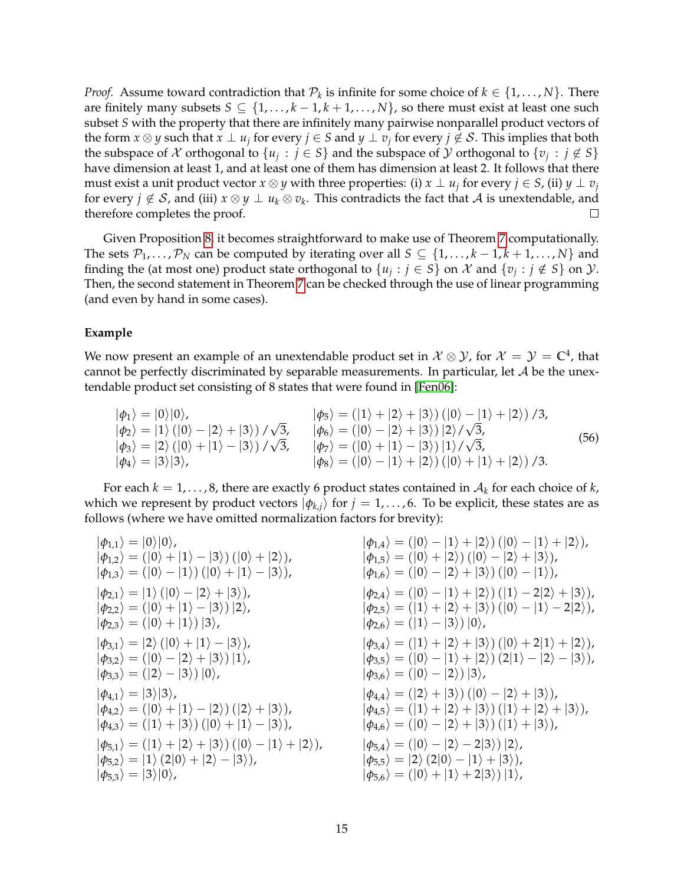<span id="page-14-0"></span>*Proof.* Assume toward contradiction that  $\mathcal{P}_k$  is infinite for some choice of  $k \in \{1, \ldots, N\}$ . There are finitely many subsets  $S \subseteq \{1, ..., k-1, k+1, ..., N\}$ , so there must exist at least one such subset *S* with the property that there are infinitely many pairwise nonparallel product vectors of the form  $x \otimes y$  such that  $x \perp u_j$  for every  $j \in S$  and  $y \perp v_j$  for every  $j \not\in \mathcal{S}$ . This implies that both the subspace of  $X$  orthogonal to  $\{u_j : j \in S\}$  and the subspace of  $Y$  orthogonal to  $\{v_j : j \notin S\}$ have dimension at least 1, and at least one of them has dimension at least 2. It follows that there must exist a unit product vector  $x \otimes y$  with three properties: (i)  $x \perp u_j$  for every  $j \in S$ , (ii)  $y \perp v_j$ for every  $j \notin \mathcal{S}$ , and (iii)  $x \otimes y \perp u_k \otimes v_k$ . This contradicts the fact that  $\mathcal{A}$  is unextendable, and therefore completes the proof.  $\Box$ 

Given Proposition [8,](#page-13-0) it becomes straightforward to make use of Theorem [7](#page-12-1) computationally. The sets  $\mathcal{P}_1, \ldots, \mathcal{P}_N$  can be computed by iterating over all  $S \subseteq \{1, \ldots, k-1, k+1, \ldots, N\}$  and finding the (at most one) product state orthogonal to  $\{u_j : j \in S\}$  on X and  $\{v_j : j \notin S\}$  on Y. Then, the second statement in Theorem [7](#page-12-1) can be checked through the use of linear programming (and even by hand in some cases).

### **Example**

We now present an example of an unextendable product set in  $\mathcal{X} \otimes \mathcal{Y}$ , for  $\mathcal{X} = \mathcal{Y} = \mathbb{C}^4$ , that cannot be perfectly discriminated by separable measurements. In particular, let  $A$  be the unextendable product set consisting of 8 states that were found in [\[Fen06\]](#page-20-14):

$$
\begin{aligned}\n|\phi_1\rangle &= |0\rangle|0\rangle, & |\phi_5\rangle &= (|1\rangle + |2\rangle + |3\rangle) (|0\rangle - |1\rangle + |2\rangle) / 3, \\
|\phi_2\rangle &= |1\rangle (|0\rangle - |2\rangle + |3\rangle) / \sqrt{3}, & |\phi_6\rangle &= (|0\rangle - |2\rangle + |3\rangle) |2\rangle / \sqrt{3}, \\
|\phi_3\rangle &= |2\rangle (|0\rangle + |1\rangle - |3\rangle) / \sqrt{3}, & |\phi_7\rangle &= (|0\rangle + |1\rangle - |3\rangle) |1\rangle / \sqrt{3}, \\
|\phi_4\rangle &= |3\rangle|3\rangle, & |\phi_8\rangle &= (|0\rangle - |1\rangle + |2\rangle) (|0\rangle + |1\rangle + |2\rangle) / 3.\n\end{aligned}
$$
(56)

For each  $k = 1, \ldots, 8$ , there are exactly 6 product states contained in  $\mathcal{A}_k$  for each choice of  $k$ , which we represent by product vectors  $|\phi_{k,j}\rangle$  for  $j = 1, \ldots, 6$ . To be explicit, these states are as follows (where we have omitted normalization factors for brevity):

$$
|\phi_{1,1}\rangle = |0\rangle|0\rangle,
$$
  
\n
$$
|\phi_{1,2}\rangle = (|0\rangle + |1\rangle - |3\rangle) (|0\rangle + |2\rangle),
$$
  
\n
$$
|\phi_{1,3}\rangle = (|0\rangle - |1\rangle) (|0\rangle + |1\rangle - |3\rangle),
$$
  
\n
$$
|\phi_{2,1}\rangle = |1\rangle (|0\rangle - |2\rangle + |3\rangle),
$$
  
\n
$$
|\phi_{2,2}\rangle = (|0\rangle + |1\rangle - |3\rangle) |2\rangle,
$$
  
\n
$$
|\phi_{3,1}\rangle = |2\rangle (|0\rangle + |1\rangle - |3\rangle),
$$
  
\n
$$
|\phi_{3,1}\rangle = |2\rangle (|0\rangle + |1\rangle - |3\rangle),
$$
  
\n
$$
|\phi_{3,2}\rangle = (|0\rangle - |2\rangle + |3\rangle) |1\rangle,
$$
  
\n
$$
|\phi_{3,3}\rangle = (|2\rangle - |3\rangle) |0\rangle,
$$
  
\n
$$
|\phi_{4,1}\rangle = |3\rangle|3\rangle,
$$
  
\n
$$
|\phi_{4,2}\rangle = (|0\rangle + |1\rangle - |2\rangle) (|2\rangle + |3\rangle),
$$
  
\n
$$
|\phi_{4,3}\rangle = (|1\rangle + |3\rangle) (|0\rangle + |1\rangle - |3\rangle),
$$
  
\n
$$
|\phi_{5,1}\rangle = (|1\rangle + |2\rangle + |3\rangle) (|0\rangle - |1\rangle + |2\rangle),
$$
  
\n
$$
|\phi_{5,2}\rangle = |1\rangle (2|0\rangle + |2\rangle - |3\rangle),
$$
  
\n
$$
|\phi_{5,3}\rangle = |3\rangle|0\rangle,
$$

$$
|\phi_{1,4}\rangle = (|0\rangle - |1\rangle + |2\rangle) (|0\rangle - |1\rangle + |2\rangle),
$$
  
\n
$$
|\phi_{1,5}\rangle = (|0\rangle + |2\rangle) (|0\rangle - |2\rangle + |3\rangle),
$$
  
\n
$$
|\phi_{1,6}\rangle = (|0\rangle - |2\rangle + |3\rangle) (|0\rangle - |1\rangle),
$$
  
\n
$$
|\phi_{2,4}\rangle = (|0\rangle - |1\rangle + |2\rangle) (|1\rangle - 2|2\rangle + |3\rangle),
$$
  
\n
$$
|\phi_{2,5}\rangle = (|1\rangle + |2\rangle + |3\rangle) (|0\rangle - |1\rangle - 2|2\rangle),
$$
  
\n
$$
|\phi_{2,6}\rangle = (|1\rangle - |3\rangle) |0\rangle,
$$
  
\n
$$
|\phi_{3,4}\rangle = (|1\rangle + |2\rangle + |3\rangle) (|0\rangle + 2|1\rangle + |2\rangle),
$$
  
\n
$$
|\phi_{3,5}\rangle = (|0\rangle - |1\rangle + |2\rangle) (2|1\rangle - |2\rangle - |3\rangle),
$$
  
\n
$$
|\phi_{3,6}\rangle = (|0\rangle - |2\rangle) |3\rangle,
$$
  
\n
$$
|\phi_{4,4}\rangle = (|2\rangle + |3\rangle) (|0\rangle - |2\rangle + |3\rangle),
$$
  
\n
$$
|\phi_{4,5}\rangle = (|1\rangle + |2\rangle + |3\rangle) (|1\rangle + |2\rangle + |3\rangle),
$$
  
\n
$$
|\phi_{5,4}\rangle = (|0\rangle - |2\rangle - 2|3\rangle) |2\rangle,
$$
  
\n
$$
|\phi_{5,5}\rangle = |2\rangle (2|0\rangle - |1\rangle + |3\rangle),
$$
  
\n
$$
|\phi_{5,6}\rangle = (|0\rangle + |1\rangle + 2|3\rangle) |1\rangle,
$$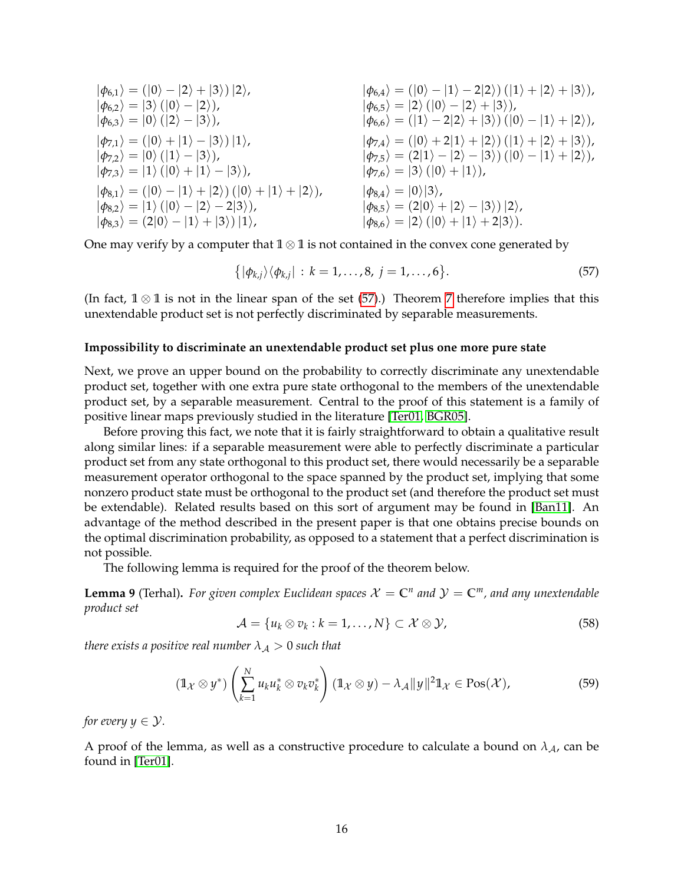<span id="page-15-3"></span>
$$
|\phi_{6,1}\rangle = (|0\rangle - |2\rangle + |3\rangle) |2\rangle,
$$
  
\n
$$
|\phi_{6,2}\rangle = |3\rangle (|0\rangle - |2\rangle),
$$
  
\n
$$
|\phi_{6,3}\rangle = |0\rangle (|2\rangle - |3\rangle),
$$
  
\n
$$
|\phi_{7,1}\rangle = (|0\rangle + |1\rangle - |3\rangle) |1\rangle,
$$
  
\n
$$
|\phi_{7,2}\rangle = |0\rangle (|1\rangle - |3\rangle),
$$
  
\n
$$
|\phi_{7,3}\rangle = |1\rangle (|0\rangle + |1\rangle - |3\rangle),
$$
  
\n
$$
|\phi_{7,4}\rangle = (|0\rangle + |2\rangle + |3\rangle) |1\rangle,
$$
  
\n
$$
|\phi_{7,5}\rangle = (2|1\rangle - |2\rangle - |3\rangle) |1\rangle + |2\rangle + |3\rangle),
$$
  
\n
$$
|\phi_{7,6}\rangle = (|0\rangle + 2|1\rangle + |2\rangle) |1\rangle + |2\rangle + |3\rangle),
$$
  
\n
$$
|\phi_{7,7}\rangle = (|0\rangle + |1\rangle - |3\rangle),
$$
  
\n
$$
|\phi_{7,8}\rangle = (|0\rangle - |1\rangle + |2\rangle) |0\rangle + |1\rangle + |2\rangle),
$$
  
\n
$$
|\phi_{8,1}\rangle = (|0\rangle - |1\rangle + |2\rangle) |0\rangle + |1\rangle + |2\rangle),
$$
  
\n
$$
|\phi_{8,2}\rangle = |1\rangle (|0\rangle - |2\rangle - 2|3\rangle),
$$
  
\n
$$
|\phi_{8,3}\rangle = (2|0\rangle - |1\rangle + |3\rangle) |1\rangle,
$$
  
\n
$$
|\phi_{8,6}\rangle = |2\rangle (|0\rangle + |1\rangle + |23\rangle).
$$

One may verify by a computer that **1** ⊗ **1** is not contained in the convex cone generated by

<span id="page-15-0"></span>
$$
\{|\phi_{k,j}\rangle\langle\phi_{k,j}| \,:\, k=1,\ldots,8, \,j=1,\ldots,6\}.
$$
\n
$$
(57)
$$

(In fact,  $1 \otimes 1$  is not in the linear span of the set [\(57\)](#page-15-0).) Theorem [7](#page-12-1) therefore implies that this unextendable product set is not perfectly discriminated by separable measurements.

#### **Impossibility to discriminate an unextendable product set plus one more pure state**

Next, we prove an upper bound on the probability to correctly discriminate any unextendable product set, together with one extra pure state orthogonal to the members of the unextendable product set, by a separable measurement. Central to the proof of this statement is a family of positive linear maps previously studied in the literature [\[Ter01,](#page-21-11) [BGR05\]](#page-19-5).

Before proving this fact, we note that it is fairly straightforward to obtain a qualitative result along similar lines: if a separable measurement were able to perfectly discriminate a particular product set from any state orthogonal to this product set, there would necessarily be a separable measurement operator orthogonal to the space spanned by the product set, implying that some nonzero product state must be orthogonal to the product set (and therefore the product set must be extendable). Related results based on this sort of argument may be found in [\[Ban11\]](#page-19-6). An advantage of the method described in the present paper is that one obtains precise bounds on the optimal discrimination probability, as opposed to a statement that a perfect discrimination is not possible.

The following lemma is required for the proof of the theorem below.

<span id="page-15-1"></span>**Lemma 9** (Terhal). For given complex Euclidean spaces  $X = \mathbb{C}^n$  and  $\mathcal{Y} = \mathbb{C}^m$ , and any unextendable *product set*

$$
\mathcal{A} = \{u_k \otimes v_k : k = 1, \ldots, N\} \subset \mathcal{X} \otimes \mathcal{Y}, \tag{58}
$$

*there exists a positive real number*  $\lambda_A > 0$  *such that* 

$$
(\mathbb{1}_{\mathcal{X}}\otimes y^*)\left(\sum_{k=1}^N u_k u_k^* \otimes v_k v_k^*\right) (\mathbb{1}_{\mathcal{X}}\otimes y) - \lambda_{\mathcal{A}}\|y\|^2 \mathbb{1}_{\mathcal{X}} \in \text{Pos}(\mathcal{X}),\tag{59}
$$

*for every*  $y \in \mathcal{Y}$ *.* 

<span id="page-15-2"></span>A proof of the lemma, as well as a constructive procedure to calculate a bound on  $\lambda_{A}$ , can be found in [\[Ter01\]](#page-21-11).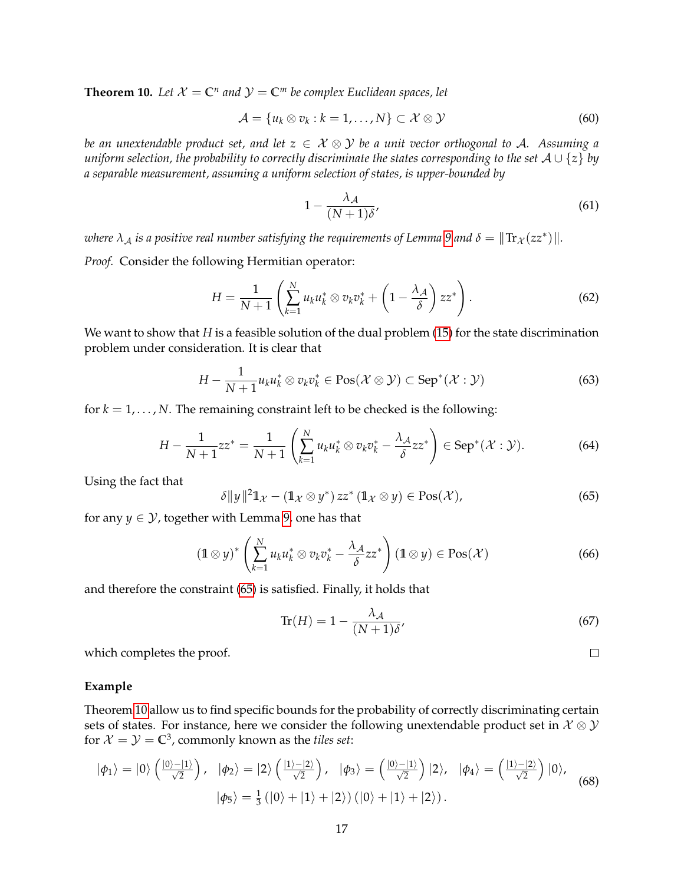**Theorem 10.** Let  $X = \mathbb{C}^n$  and  $\mathcal{Y} = \mathbb{C}^m$  be complex Euclidean spaces, let

$$
\mathcal{A} = \{u_k \otimes v_k : k = 1, \ldots, N\} \subset \mathcal{X} \otimes \mathcal{Y} \tag{60}
$$

*be an unextendable product set, and let z* ∈ X ⊗ Y *be a unit vector orthogonal to* A*. Assuming a uniform selection, the probability to correctly discriminate the states corresponding to the set* A ∪ {*z*} *by a separable measurement, assuming a uniform selection of states, is upper-bounded by*

$$
1 - \frac{\lambda_{\mathcal{A}}}{(N+1)\delta},\tag{61}
$$

*where*  $\lambda_{\cal A}$  *is a positive real number satisfying the requirements of Lemma [9](#page-15-1) and*  $\delta = \|\text{Tr}_{{\cal X}}(zz^*)\|.$ 

*Proof.* Consider the following Hermitian operator:

$$
H = \frac{1}{N+1} \left( \sum_{k=1}^{N} u_k u_k^* \otimes v_k v_k^* + \left( 1 - \frac{\lambda_{\mathcal{A}}}{\delta} \right) z z^* \right).
$$
 (62)

We want to show that *H* is a feasible solution of the dual problem [\(15\)](#page-6-0) for the state discrimination problem under consideration. It is clear that

$$
H - \frac{1}{N+1} u_k u_k^* \otimes v_k v_k^* \in \text{Pos}(\mathcal{X} \otimes \mathcal{Y}) \subset \text{Sep}^*(\mathcal{X} : \mathcal{Y})
$$
 (63)

for  $k = 1, \ldots, N$ . The remaining constraint left to be checked is the following:

$$
H - \frac{1}{N+1}zz^* = \frac{1}{N+1} \left( \sum_{k=1}^N u_k u_k^* \otimes v_k v_k^* - \frac{\lambda_{\mathcal{A}}}{\delta} z z^* \right) \in \text{Sep}^*(\mathcal{X}:\mathcal{Y}). \tag{64}
$$

Using the fact that

<span id="page-16-0"></span>
$$
\delta \|y\|^2 \mathbb{1}_{\mathcal{X}} - (\mathbb{1}_{\mathcal{X}} \otimes y^*) zz^* (\mathbb{1}_{\mathcal{X}} \otimes y) \in \text{Pos}(\mathcal{X}), \tag{65}
$$

for any  $y \in \mathcal{Y}$ , together with Lemma [9,](#page-15-1) one has that

$$
\left(\mathbb{1} \otimes y\right)^{*}\left(\sum_{k=1}^{N} u_{k} u_{k}^{*} \otimes v_{k} v_{k}^{*} - \frac{\lambda_{\mathcal{A}}}{\delta} z z^{*}\right)\left(\mathbb{1} \otimes y\right) \in \text{Pos}(\mathcal{X})\tag{66}
$$

and therefore the constraint [\(65\)](#page-16-0) is satisfied. Finally, it holds that

$$
\text{Tr}(H) = 1 - \frac{\lambda_{\mathcal{A}}}{(N+1)\delta},\tag{67}
$$

 $\Box$ 

which completes the proof.

## **Example**

Theorem [10](#page-15-2) allow us to find specific bounds for the probability of correctly discriminating certain sets of states. For instance, here we consider the following unextendable product set in  $\mathcal{X} \otimes \mathcal{Y}$ for  $\mathcal{X}=\mathcal{Y}=\mathbb{C}^3$ , commonly known as the *tiles set*:

$$
|\phi_1\rangle = |0\rangle \left(\frac{|0\rangle - |1\rangle}{\sqrt{2}}\right), \quad |\phi_2\rangle = |2\rangle \left(\frac{|1\rangle - |2\rangle}{\sqrt{2}}\right), \quad |\phi_3\rangle = \left(\frac{|0\rangle - |1\rangle}{\sqrt{2}}\right)|2\rangle, \quad |\phi_4\rangle = \left(\frac{|1\rangle - |2\rangle}{\sqrt{2}}\right)|0\rangle, \quad |\phi_5\rangle = \frac{1}{3} (|0\rangle + |1\rangle + |2\rangle) (|0\rangle + |1\rangle + |2\rangle).
$$
 (68)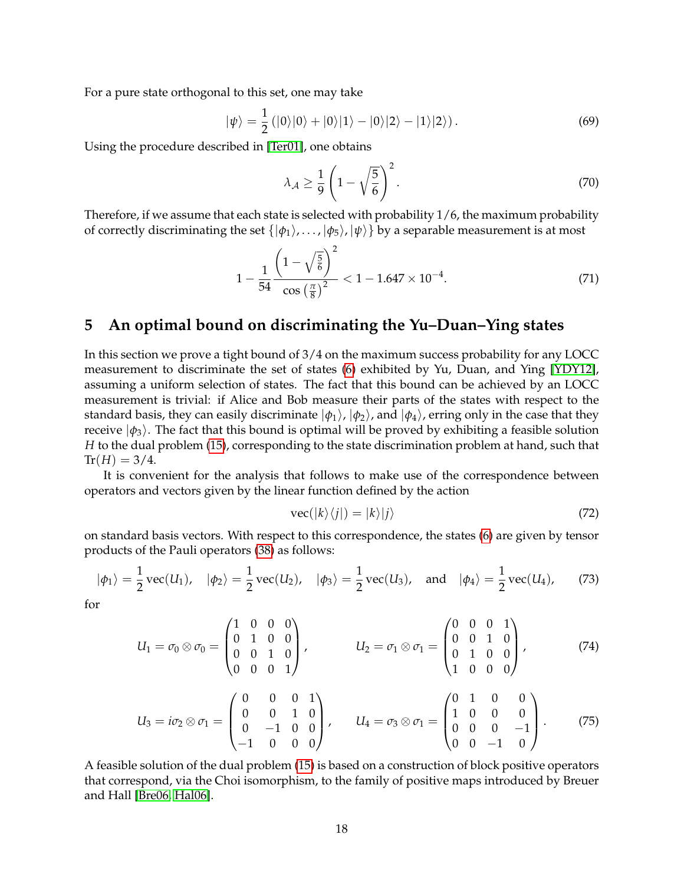<span id="page-17-1"></span>For a pure state orthogonal to this set, one may take

$$
|\psi\rangle = \frac{1}{2} (|0\rangle|0\rangle + |0\rangle|1\rangle - |0\rangle|2\rangle - |1\rangle|2\rangle).
$$
 (69)

Using the procedure described in [\[Ter01\]](#page-21-11), one obtains

$$
\lambda_{\mathcal{A}} \ge \frac{1}{9} \left( 1 - \sqrt{\frac{5}{6}} \right)^2. \tag{70}
$$

Therefore, if we assume that each state is selected with probability 1/6, the maximum probability of correctly discriminating the set  $\{|\phi_1\rangle, \ldots, |\phi_5\rangle, |\psi\rangle\}$  by a separable measurement is at most

$$
1 - \frac{1}{54} \frac{\left(1 - \sqrt{\frac{5}{6}}\right)^2}{\cos\left(\frac{\pi}{8}\right)^2} < 1 - 1.647 \times 10^{-4}.\tag{71}
$$

# **5 An optimal bound on discriminating the Yu–Duan–Ying states**

In this section we prove a tight bound of 3/4 on the maximum success probability for any LOCC measurement to discriminate the set of states [\(6\)](#page-3-0) exhibited by Yu, Duan, and Ying [\[YDY12\]](#page-21-7), assuming a uniform selection of states. The fact that this bound can be achieved by an LOCC measurement is trivial: if Alice and Bob measure their parts of the states with respect to the standard basis, they can easily discriminate  $|\phi_1\rangle$ ,  $|\phi_2\rangle$ , and  $|\phi_4\rangle$ , erring only in the case that they receive  $|\phi_3\rangle$ . The fact that this bound is optimal will be proved by exhibiting a feasible solution *H* to the dual problem [\(15\)](#page-6-0), corresponding to the state discrimination problem at hand, such that  $Tr(H) = 3/4.$ 

It is convenient for the analysis that follows to make use of the correspondence between operators and vectors given by the linear function defined by the action

$$
\text{vec}(|k\rangle\langle j|) = |k\rangle|j\rangle\tag{72}
$$

on standard basis vectors. With respect to this correspondence, the states [\(6\)](#page-3-0) are given by tensor products of the Pauli operators [\(38\)](#page-10-0) as follows:

$$
|\phi_1\rangle = \frac{1}{2}\text{vec}(U_1), \quad |\phi_2\rangle = \frac{1}{2}\text{vec}(U_2), \quad |\phi_3\rangle = \frac{1}{2}\text{vec}(U_3), \text{ and } |\phi_4\rangle = \frac{1}{2}\text{vec}(U_4),
$$
 (73)

for

$$
U_1 = \sigma_0 \otimes \sigma_0 = \begin{pmatrix} 1 & 0 & 0 & 0 \\ 0 & 1 & 0 & 0 \\ 0 & 0 & 1 & 0 \\ 0 & 0 & 0 & 1 \end{pmatrix}, \qquad U_2 = \sigma_1 \otimes \sigma_1 = \begin{pmatrix} 0 & 0 & 0 & 1 \\ 0 & 0 & 1 & 0 \\ 0 & 1 & 0 & 0 \\ 1 & 0 & 0 & 0 \end{pmatrix}, \qquad (74)
$$

$$
U_3 = i\sigma_2 \otimes \sigma_1 = \begin{pmatrix} 0 & 0 & 0 & 1 \\ 0 & 0 & 1 & 0 \\ 0 & -1 & 0 & 0 \\ -1 & 0 & 0 & 0 \end{pmatrix}, \qquad U_4 = \sigma_3 \otimes \sigma_1 = \begin{pmatrix} 0 & 1 & 0 & 0 \\ 1 & 0 & 0 & 0 \\ 0 & 0 & 0 & -1 \\ 0 & 0 & -1 & 0 \end{pmatrix}.
$$
 (75)

<span id="page-17-0"></span>A feasible solution of the dual problem [\(15\)](#page-6-0) is based on a construction of block positive operators that correspond, via the Choi isomorphism, to the family of positive maps introduced by Breuer and Hall [\[Bre06,](#page-20-9) [Hal06\]](#page-20-10).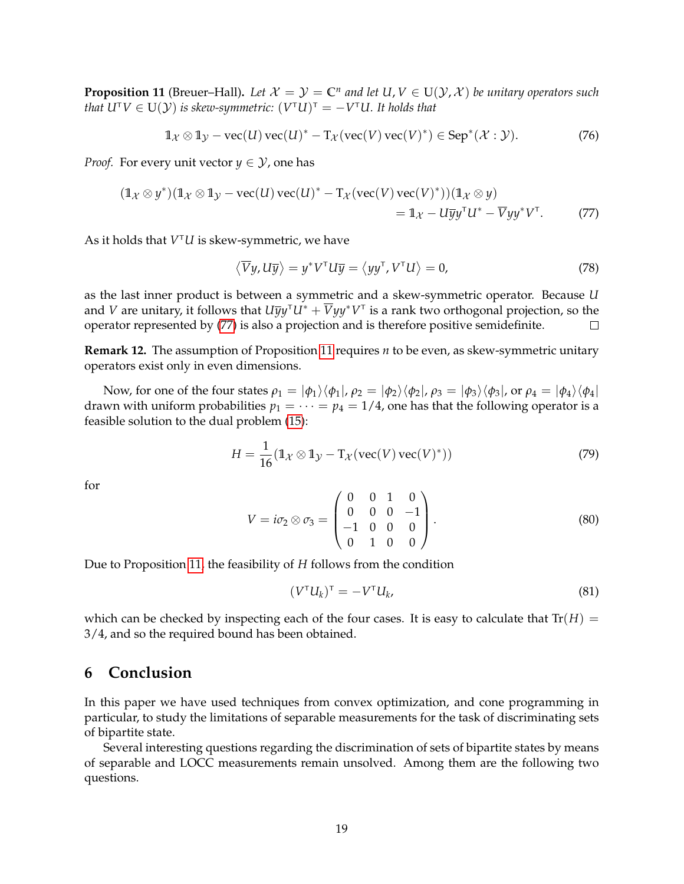**Proposition 11** (Breuer–Hall). Let  $X = Y = \mathbb{C}^n$  and let  $U, V \in U(Y, X)$  be unitary operators such  $t$ hat U $^{\intercal}V \in \mathrm{U}(\mathcal{Y})$  is skew-symmetric:  $(V^{\intercal}U)^{\intercal} = -V^{\intercal}U.$  It holds that

$$
\mathbb{1}_{\mathcal{X}} \otimes \mathbb{1}_{\mathcal{Y}} - \text{vec}(U) \operatorname{vec}(U)^{*} - \mathbb{1}_{\mathcal{X}} (\operatorname{vec}(V) \operatorname{vec}(V)^{*}) \in \operatorname{Sep}^{*}(\mathcal{X} : \mathcal{Y}).
$$
 (76)

*Proof.* For every unit vector  $y \in \mathcal{Y}$ , one has

$$
(\mathbb{1}_{\mathcal{X}} \otimes y^*)(\mathbb{1}_{\mathcal{X}} \otimes \mathbb{1}_{\mathcal{Y}} - vec(U) vec(U)^* - T_{\mathcal{X}}(vec(V) vec(V)^*)) (\mathbb{1}_{\mathcal{X}} \otimes y)
$$
  
=  $\mathbb{1}_{\mathcal{X}} - U\overline{y}y^{\mathsf{T}}U^* - \overline{V}yy^*V^{\mathsf{T}}.$  (77)

As it holds that *V* <sup>T</sup>*U* is skew-symmetric, we have

<span id="page-18-0"></span>
$$
\langle \overline{V}y, U\overline{y} \rangle = y^* V^{\mathsf{T}} U \overline{y} = \langle y y^{\mathsf{T}}, V^{\mathsf{T}} U \rangle = 0,
$$
 (78)

as the last inner product is between a symmetric and a skew-symmetric operator. Because *U* and *V* are unitary, it follows that  $U\overline{y}y^{\dagger}U^* + \overline{V}yy^*V^{\dagger}$  is a rank two orthogonal projection, so the operator represented by [\(77\)](#page-18-0) is also a projection and is therefore positive semidefinite.  $\Box$ 

**Remark 12.** The assumption of Proposition [11](#page-17-0) requires *n* to be even, as skew-symmetric unitary operators exist only in even dimensions.

Now, for one of the four states  $\rho_1 = |\phi_1\rangle\langle\phi_1|$ ,  $\rho_2 = |\phi_2\rangle\langle\phi_2|$ ,  $\rho_3 = |\phi_3\rangle\langle\phi_3|$ , or  $\rho_4 = |\phi_4\rangle\langle\phi_4|$ drawn with uniform probabilities  $p_1 = \cdots = p_4 = 1/4$ , one has that the following operator is a feasible solution to the dual problem [\(15\)](#page-6-0):

$$
H = \frac{1}{16} (\mathbb{1}_{\mathcal{X}} \otimes \mathbb{1}_{\mathcal{Y}} - \mathrm{T}_{\mathcal{X}} (\mathrm{vec}(V) \mathrm{vec}(V)^*))
$$
(79)

for

$$
V = i\sigma_2 \otimes \sigma_3 = \begin{pmatrix} 0 & 0 & 1 & 0 \\ 0 & 0 & 0 & -1 \\ -1 & 0 & 0 & 0 \\ 0 & 1 & 0 & 0 \end{pmatrix}.
$$
 (80)

Due to Proposition [11,](#page-17-0) the feasibility of *H* follows from the condition

$$
(V^{\top}U_k)^{\top} = -V^{\top}U_k, \tag{81}
$$

which can be checked by inspecting each of the four cases. It is easy to calculate that  $Tr(H)$  = 3/4, and so the required bound has been obtained.

# **6 Conclusion**

In this paper we have used techniques from convex optimization, and cone programming in particular, to study the limitations of separable measurements for the task of discriminating sets of bipartite state.

Several interesting questions regarding the discrimination of sets of bipartite states by means of separable and LOCC measurements remain unsolved. Among them are the following two questions.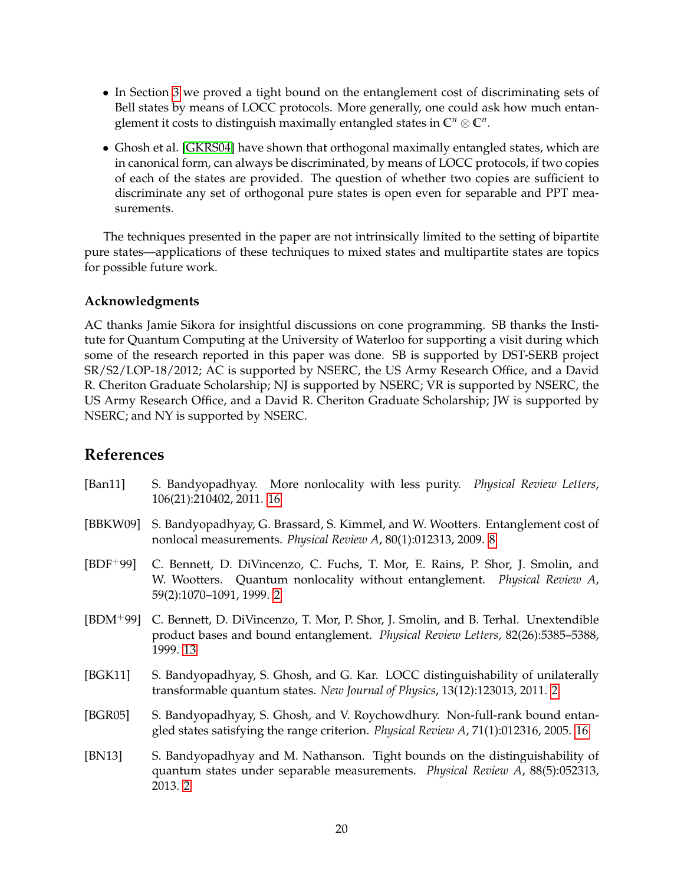- <span id="page-19-7"></span>• In Section [3](#page-7-1) we proved a tight bound on the entanglement cost of discriminating sets of Bell states by means of LOCC protocols. More generally, one could ask how much entanglement it costs to distinguish maximally entangled states in **C***<sup>n</sup>* ⊗ **C***<sup>n</sup>* .
- Ghosh et al. [\[GKRS04\]](#page-20-5) have shown that orthogonal maximally entangled states, which are in canonical form, can always be discriminated, by means of LOCC protocols, if two copies of each of the states are provided. The question of whether two copies are sufficient to discriminate any set of orthogonal pure states is open even for separable and PPT measurements.

The techniques presented in the paper are not intrinsically limited to the setting of bipartite pure states—applications of these techniques to mixed states and multipartite states are topics for possible future work.

## **Acknowledgments**

AC thanks Jamie Sikora for insightful discussions on cone programming. SB thanks the Institute for Quantum Computing at the University of Waterloo for supporting a visit during which some of the research reported in this paper was done. SB is supported by DST-SERB project SR/S2/LOP-18/2012; AC is supported by NSERC, the US Army Research Office, and a David R. Cheriton Graduate Scholarship; NJ is supported by NSERC; VR is supported by NSERC, the US Army Research Office, and a David R. Cheriton Graduate Scholarship; JW is supported by NSERC; and NY is supported by NSERC.

# **References**

- <span id="page-19-6"></span>[Ban11] S. Bandyopadhyay. More nonlocality with less purity. *Physical Review Letters*, 106(21):210402, 2011. [16](#page-15-3)
- <span id="page-19-3"></span>[BBKW09] S. Bandyopadhyay, G. Brassard, S. Kimmel, and W. Wootters. Entanglement cost of nonlocal measurements. *Physical Review A*, 80(1):012313, 2009. [8](#page-7-2)
- <span id="page-19-2"></span>[BDF+99] C. Bennett, D. DiVincenzo, C. Fuchs, T. Mor, E. Rains, P. Shor, J. Smolin, and W. Wootters. Quantum nonlocality without entanglement. *Physical Review A*, 59(2):1070–1091, 1999. [2](#page-1-2)
- <span id="page-19-4"></span>[BDM+99] C. Bennett, D. DiVincenzo, T. Mor, P. Shor, J. Smolin, and B. Terhal. Unextendible product bases and bound entanglement. *Physical Review Letters*, 82(26):5385–5388, 1999. [13](#page-12-2)
- <span id="page-19-0"></span>[BGK11] S. Bandyopadhyay, S. Ghosh, and G. Kar. LOCC distinguishability of unilaterally transformable quantum states. *New Journal of Physics*, 13(12):123013, 2011. [2](#page-1-2)
- <span id="page-19-5"></span>[BGR05] S. Bandyopadhyay, S. Ghosh, and V. Roychowdhury. Non-full-rank bound entangled states satisfying the range criterion. *Physical Review A*, 71(1):012316, 2005. [16](#page-15-3)
- <span id="page-19-1"></span>[BN13] S. Bandyopadhyay and M. Nathanson. Tight bounds on the distinguishability of quantum states under separable measurements. *Physical Review A*, 88(5):052313, 2013. [2](#page-1-2)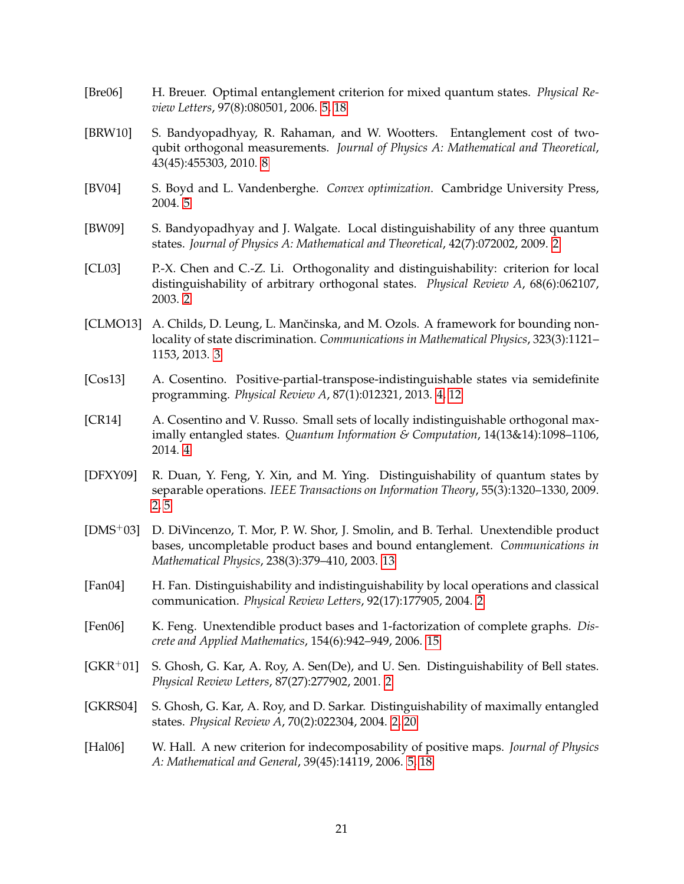- <span id="page-20-9"></span>[Bre06] H. Breuer. Optimal entanglement criterion for mixed quantum states. *Physical Review Letters*, 97(8):080501, 2006. [5,](#page-4-1) [18](#page-17-1)
- <span id="page-20-12"></span>[BRW10] S. Bandyopadhyay, R. Rahaman, and W. Wootters. Entanglement cost of twoqubit orthogonal measurements. *Journal of Physics A: Mathematical and Theoretical*, 43(45):455303, 2010. [8](#page-7-2)
- <span id="page-20-11"></span>[BV04] S. Boyd and L. Vandenberghe. *Convex optimization*. Cambridge University Press, 2004. [5](#page-4-1)
- <span id="page-20-0"></span>[BW09] S. Bandyopadhyay and J. Walgate. Local distinguishability of any three quantum states. *Journal of Physics A: Mathematical and Theoretical*, 42(7):072002, 2009. [2](#page-1-2)
- <span id="page-20-1"></span>[CL03] P.-X. Chen and C.-Z. Li. Orthogonality and distinguishability: criterion for local distinguishability of arbitrary orthogonal states. *Physical Review A*, 68(6):062107, 2003. [2](#page-1-2)
- <span id="page-20-6"></span>[CLMO13] A. Childs, D. Leung, L. Mančinska, and M. Ozols. A framework for bounding nonlocality of state discrimination. *Communications in Mathematical Physics*, 323(3):1121– 1153, 2013. [3](#page-2-0)
- <span id="page-20-7"></span>[Cos13] A. Cosentino. Positive-partial-transpose-indistinguishable states via semidefinite programming. *Physical Review A*, 87(1):012321, 2013. [4,](#page-3-1) [12](#page-11-1)
- <span id="page-20-8"></span>[CR14] A. Cosentino and V. Russo. Small sets of locally indistinguishable orthogonal maximally entangled states. *Quantum Information & Computation*, 14(13&14):1098–1106, 2014. [4](#page-3-1)
- <span id="page-20-2"></span>[DFXY09] R. Duan, Y. Feng, Y. Xin, and M. Ying. Distinguishability of quantum states by separable operations. *IEEE Transactions on Information Theory*, 55(3):1320–1330, 2009. [2,](#page-1-2) [5](#page-4-1)
- <span id="page-20-13"></span>[DMS+03] D. DiVincenzo, T. Mor, P. W. Shor, J. Smolin, and B. Terhal. Unextendible product bases, uncompletable product bases and bound entanglement. *Communications in Mathematical Physics*, 238(3):379–410, 2003. [13](#page-12-2)
- <span id="page-20-3"></span>[Fan04] H. Fan. Distinguishability and indistinguishability by local operations and classical communication. *Physical Review Letters*, 92(17):177905, 2004. [2](#page-1-2)
- <span id="page-20-14"></span>[Fen06] K. Feng. Unextendible product bases and 1-factorization of complete graphs. *Discrete and Applied Mathematics*, 154(6):942–949, 2006. [15](#page-14-0)
- <span id="page-20-4"></span> $[GKR<sup>+</sup>01]$  S. Ghosh, G. Kar, A. Roy, A. Sen(De), and U. Sen. Distinguishability of Bell states. *Physical Review Letters*, 87(27):277902, 2001. [2](#page-1-2)
- <span id="page-20-5"></span>[GKRS04] S. Ghosh, G. Kar, A. Roy, and D. Sarkar. Distinguishability of maximally entangled states. *Physical Review A*, 70(2):022304, 2004. [2,](#page-1-2) [20](#page-19-7)
- <span id="page-20-10"></span>[Hal06] W. Hall. A new criterion for indecomposability of positive maps. *Journal of Physics A: Mathematical and General*, 39(45):14119, 2006. [5,](#page-4-1) [18](#page-17-1)